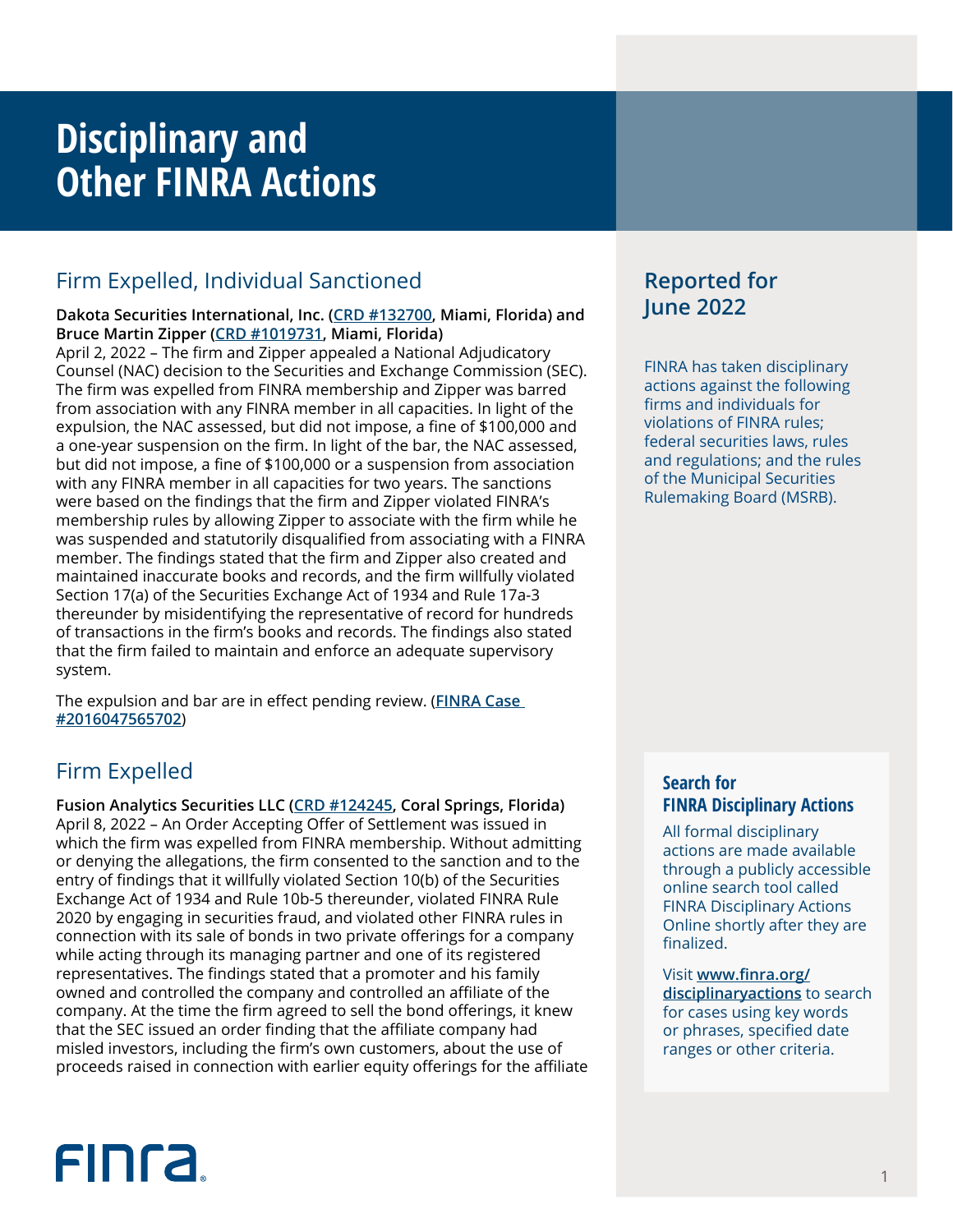## **Disciplinary and Other FINRA Actions**

## Firm Expelled, Individual Sanctioned

#### **Dakota Securities International, Inc. [\(CRD #132700,](http://brokercheck.finra.org/firm/summary/132700) Miami, Florida) and Bruce Martin Zipper [\(CRD #1019731](http://brokercheck.finra.org/individual/summary/1019731), Miami, Florida)**

April 2, 2022 – The firm and Zipper appealed a National Adjudicatory Counsel (NAC) decision to the Securities and Exchange Commission (SEC). The firm was expelled from FINRA membership and Zipper was barred from association with any FINRA member in all capacities. In light of the expulsion, the NAC assessed, but did not impose, a fine of \$100,000 and a one-year suspension on the firm. In light of the bar, the NAC assessed, but did not impose, a fine of \$100,000 or a suspension from association with any FINRA member in all capacities for two years. The sanctions were based on the findings that the firm and Zipper violated FINRA's membership rules by allowing Zipper to associate with the firm while he was suspended and statutorily disqualified from associating with a FINRA member. The findings stated that the firm and Zipper also created and maintained inaccurate books and records, and the firm willfully violated Section 17(a) of the Securities Exchange Act of 1934 and Rule 17a-3 thereunder by misidentifying the representative of record for hundreds of transactions in the firm's books and records. The findings also stated that the firm failed to maintain and enforce an adequate supervisory system.

The expulsion and bar are in effect pending review. (**[FINRA Case](https://www.finra.org/rules-guidance/oversight-enforcement/finra-disciplinary-actions?search=2016047565702)  [#2016047565702](https://www.finra.org/rules-guidance/oversight-enforcement/finra-disciplinary-actions?search=2016047565702)**)

## Firm Expelled

**Fusion Analytics Securities LLC ([CRD #124245](http://brokercheck.finra.org/firm/summary/124245), Coral Springs, Florida)** April 8, 2022 – An Order Accepting Offer of Settlement was issued in which the firm was expelled from FINRA membership. Without admitting or denying the allegations, the firm consented to the sanction and to the entry of findings that it willfully violated Section 10(b) of the Securities Exchange Act of 1934 and Rule 10b-5 thereunder, violated FINRA Rule 2020 by engaging in securities fraud, and violated other FINRA rules in connection with its sale of bonds in two private offerings for a company while acting through its managing partner and one of its registered representatives. The findings stated that a promoter and his family owned and controlled the company and controlled an affiliate of the company. At the time the firm agreed to sell the bond offerings, it knew that the SEC issued an order finding that the affiliate company had misled investors, including the firm's own customers, about the use of proceeds raised in connection with earlier equity offerings for the affiliate

# **FINCA**

## **Reported for June 2022**

FINRA has taken disciplinary actions against the following firms and individuals for violations of FINRA rules; federal securities laws, rules and regulations; and the rules of the Municipal Securities Rulemaking Board (MSRB).

## **Search for FINRA Disciplinary Actions**

All formal disciplinary actions are made available through a publicly accessible online search tool called FINRA Disciplinary Actions Online shortly after they are finalized.

Visit **[www.finra.org/](https://www.finra.org/rules-guidance/oversight-enforcement/finra-disciplinary-actions-online) [disciplinaryactions](https://www.finra.org/rules-guidance/oversight-enforcement/finra-disciplinary-actions-online)** to search for cases using key words or phrases, specified date ranges or other criteria.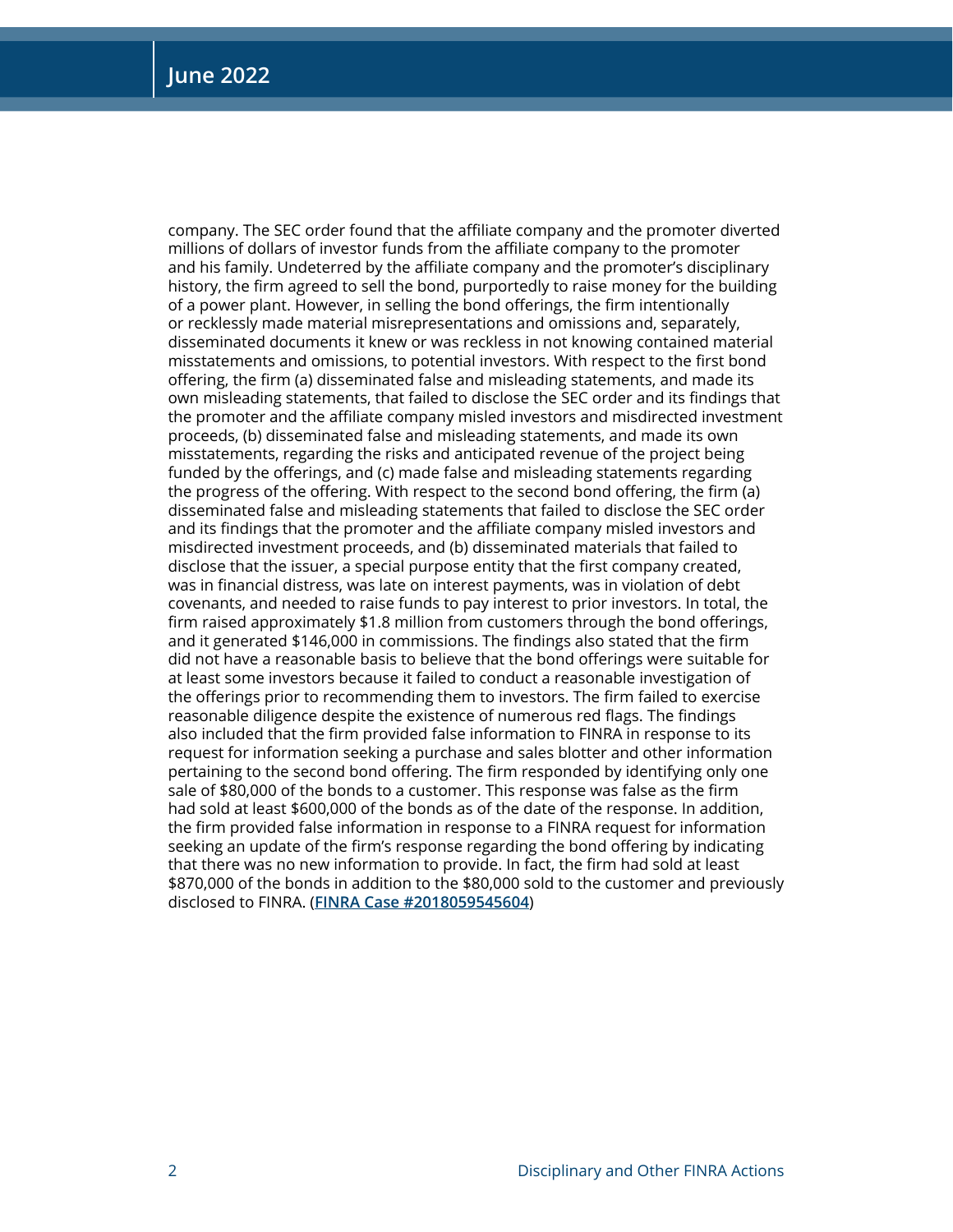company. The SEC order found that the affiliate company and the promoter diverted millions of dollars of investor funds from the affiliate company to the promoter and his family. Undeterred by the affiliate company and the promoter's disciplinary history, the firm agreed to sell the bond, purportedly to raise money for the building of a power plant. However, in selling the bond offerings, the firm intentionally or recklessly made material misrepresentations and omissions and, separately, disseminated documents it knew or was reckless in not knowing contained material misstatements and omissions, to potential investors. With respect to the first bond offering, the firm (a) disseminated false and misleading statements, and made its own misleading statements, that failed to disclose the SEC order and its findings that the promoter and the affiliate company misled investors and misdirected investment proceeds, (b) disseminated false and misleading statements, and made its own misstatements, regarding the risks and anticipated revenue of the project being funded by the offerings, and (c) made false and misleading statements regarding the progress of the offering. With respect to the second bond offering, the firm (a) disseminated false and misleading statements that failed to disclose the SEC order and its findings that the promoter and the affiliate company misled investors and misdirected investment proceeds, and (b) disseminated materials that failed to disclose that the issuer, a special purpose entity that the first company created, was in financial distress, was late on interest payments, was in violation of debt covenants, and needed to raise funds to pay interest to prior investors. In total, the firm raised approximately \$1.8 million from customers through the bond offerings, and it generated \$146,000 in commissions. The findings also stated that the firm did not have a reasonable basis to believe that the bond offerings were suitable for at least some investors because it failed to conduct a reasonable investigation of the offerings prior to recommending them to investors. The firm failed to exercise reasonable diligence despite the existence of numerous red flags. The findings also included that the firm provided false information to FINRA in response to its request for information seeking a purchase and sales blotter and other information pertaining to the second bond offering. The firm responded by identifying only one sale of \$80,000 of the bonds to a customer. This response was false as the firm had sold at least \$600,000 of the bonds as of the date of the response. In addition, the firm provided false information in response to a FINRA request for information seeking an update of the firm's response regarding the bond offering by indicating that there was no new information to provide. In fact, the firm had sold at least \$870,000 of the bonds in addition to the \$80,000 sold to the customer and previously disclosed to FINRA. (**[FINRA Case #2018059545604](https://www.finra.org/rules-guidance/oversight-enforcement/finra-disciplinary-actions?search=2018059545604)**)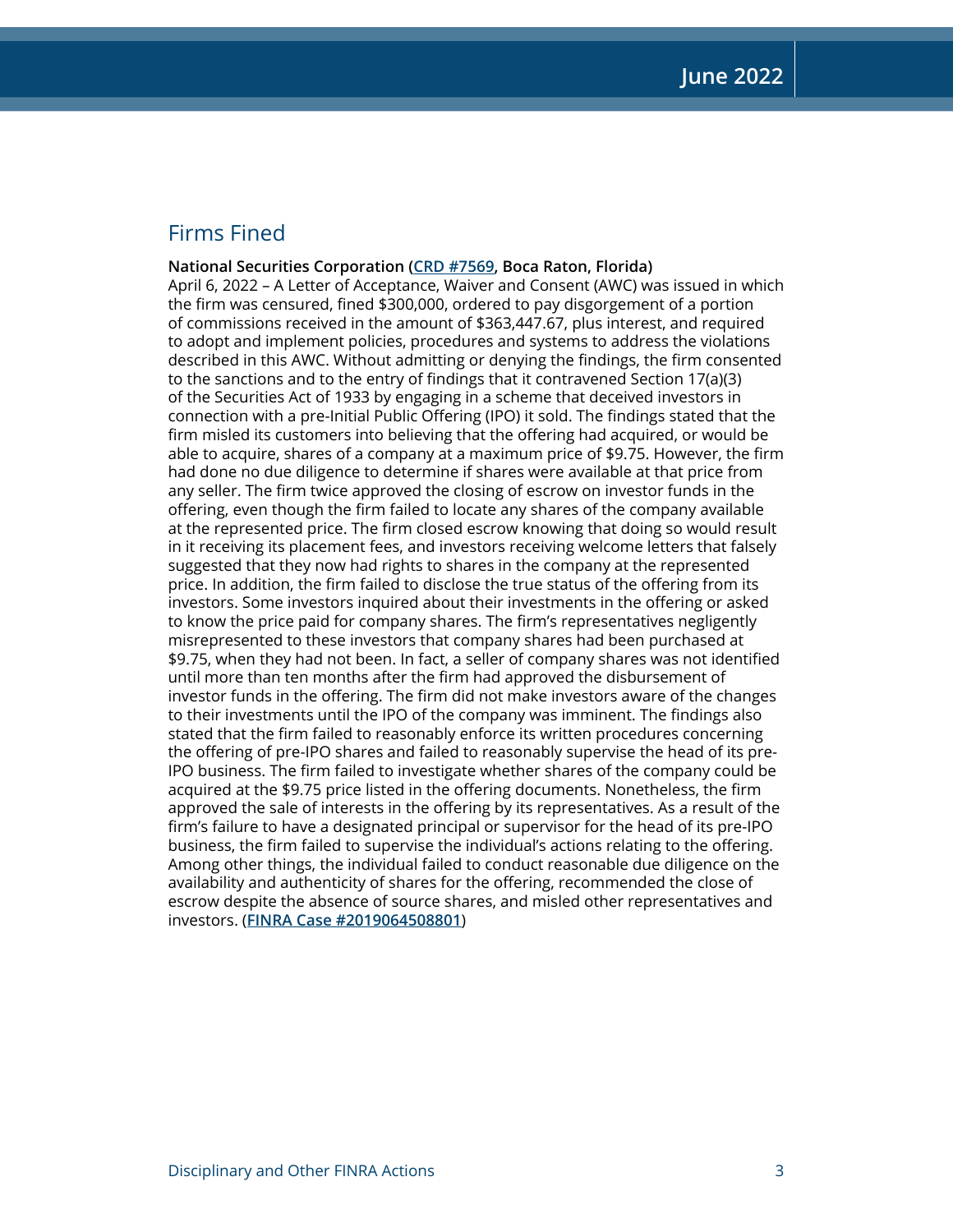## Firms Fined

**National Securities Corporation ([CRD #7569,](http://brokercheck.finra.org/firm/summary/7569) Boca Raton, Florida)** April 6, 2022 – A Letter of Acceptance, Waiver and Consent (AWC) was issued in which the firm was censured, fined \$300,000, ordered to pay disgorgement of a portion of commissions received in the amount of \$363,447.67, plus interest, and required to adopt and implement policies, procedures and systems to address the violations described in this AWC. Without admitting or denying the findings, the firm consented to the sanctions and to the entry of findings that it contravened Section 17(a)(3) of the Securities Act of 1933 by engaging in a scheme that deceived investors in connection with a pre-Initial Public Offering (IPO) it sold. The findings stated that the firm misled its customers into believing that the offering had acquired, or would be able to acquire, shares of a company at a maximum price of \$9.75. However, the firm had done no due diligence to determine if shares were available at that price from any seller. The firm twice approved the closing of escrow on investor funds in the offering, even though the firm failed to locate any shares of the company available at the represented price. The firm closed escrow knowing that doing so would result in it receiving its placement fees, and investors receiving welcome letters that falsely suggested that they now had rights to shares in the company at the represented price. In addition, the firm failed to disclose the true status of the offering from its investors. Some investors inquired about their investments in the offering or asked to know the price paid for company shares. The firm's representatives negligently misrepresented to these investors that company shares had been purchased at \$9.75, when they had not been. In fact, a seller of company shares was not identified until more than ten months after the firm had approved the disbursement of investor funds in the offering. The firm did not make investors aware of the changes to their investments until the IPO of the company was imminent. The findings also stated that the firm failed to reasonably enforce its written procedures concerning the offering of pre-IPO shares and failed to reasonably supervise the head of its pre-IPO business. The firm failed to investigate whether shares of the company could be acquired at the \$9.75 price listed in the offering documents. Nonetheless, the firm approved the sale of interests in the offering by its representatives. As a result of the firm's failure to have a designated principal or supervisor for the head of its pre-IPO business, the firm failed to supervise the individual's actions relating to the offering. Among other things, the individual failed to conduct reasonable due diligence on the availability and authenticity of shares for the offering, recommended the close of escrow despite the absence of source shares, and misled other representatives and investors. (**[FINRA Case #2019064508801](https://www.finra.org/rules-guidance/oversight-enforcement/finra-disciplinary-actions?search=2019064508801)**)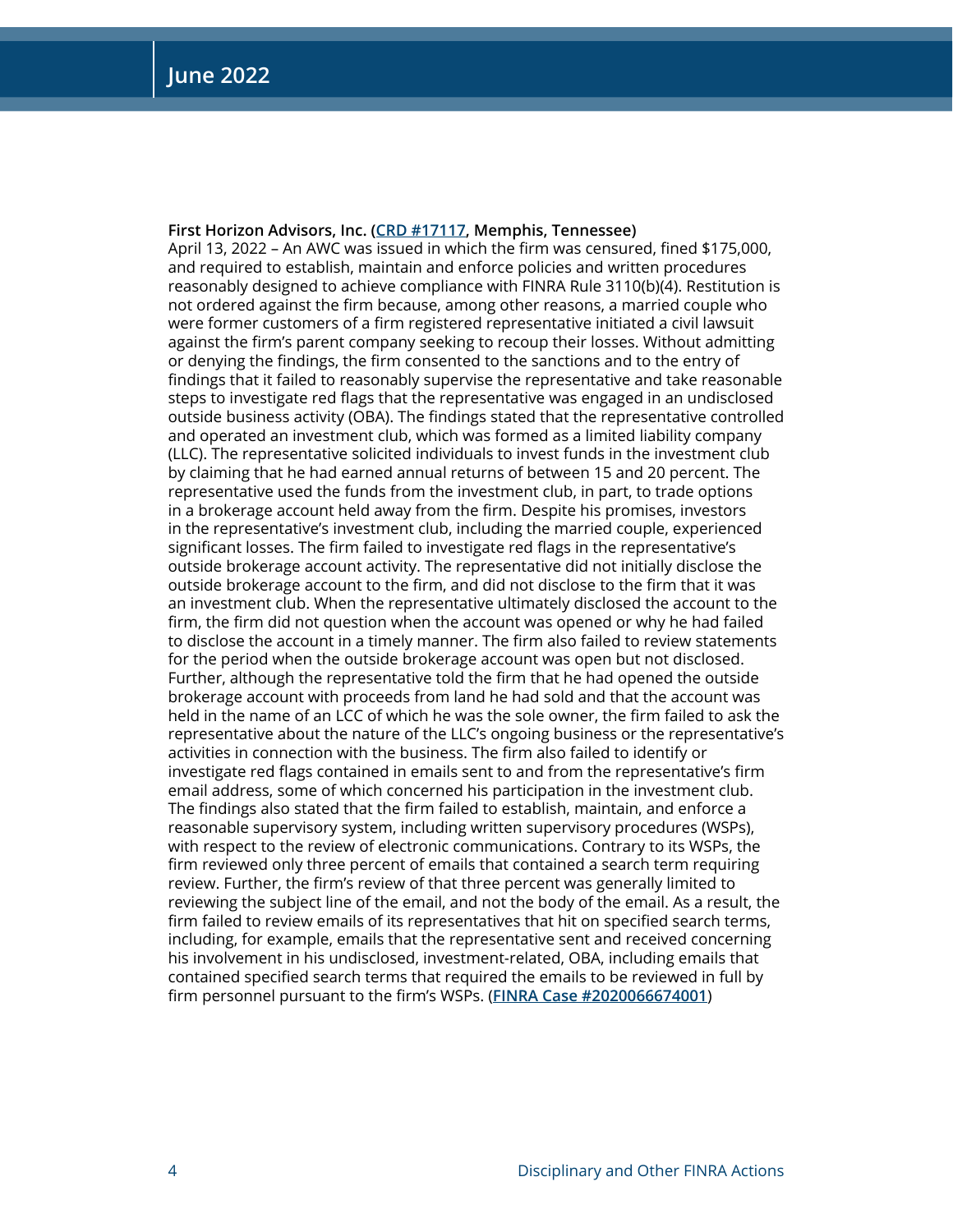#### **First Horizon Advisors, Inc. ([CRD #17117](http://brokercheck.finra.org/firm/summary/17117), Memphis, Tennessee)**

April 13, 2022 – An AWC was issued in which the firm was censured, fined \$175,000, and required to establish, maintain and enforce policies and written procedures reasonably designed to achieve compliance with FINRA Rule 3110(b)(4). Restitution is not ordered against the firm because, among other reasons, a married couple who were former customers of a firm registered representative initiated a civil lawsuit against the firm's parent company seeking to recoup their losses. Without admitting or denying the findings, the firm consented to the sanctions and to the entry of findings that it failed to reasonably supervise the representative and take reasonable steps to investigate red flags that the representative was engaged in an undisclosed outside business activity (OBA). The findings stated that the representative controlled and operated an investment club, which was formed as a limited liability company (LLC). The representative solicited individuals to invest funds in the investment club by claiming that he had earned annual returns of between 15 and 20 percent. The representative used the funds from the investment club, in part, to trade options in a brokerage account held away from the firm. Despite his promises, investors in the representative's investment club, including the married couple, experienced significant losses. The firm failed to investigate red flags in the representative's outside brokerage account activity. The representative did not initially disclose the outside brokerage account to the firm, and did not disclose to the firm that it was an investment club. When the representative ultimately disclosed the account to the firm, the firm did not question when the account was opened or why he had failed to disclose the account in a timely manner. The firm also failed to review statements for the period when the outside brokerage account was open but not disclosed. Further, although the representative told the firm that he had opened the outside brokerage account with proceeds from land he had sold and that the account was held in the name of an LCC of which he was the sole owner, the firm failed to ask the representative about the nature of the LLC's ongoing business or the representative's activities in connection with the business. The firm also failed to identify or investigate red flags contained in emails sent to and from the representative's firm email address, some of which concerned his participation in the investment club. The findings also stated that the firm failed to establish, maintain, and enforce a reasonable supervisory system, including written supervisory procedures (WSPs), with respect to the review of electronic communications. Contrary to its WSPs, the firm reviewed only three percent of emails that contained a search term requiring review. Further, the firm's review of that three percent was generally limited to reviewing the subject line of the email, and not the body of the email. As a result, the firm failed to review emails of its representatives that hit on specified search terms, including, for example, emails that the representative sent and received concerning his involvement in his undisclosed, investment-related, OBA, including emails that contained specified search terms that required the emails to be reviewed in full by firm personnel pursuant to the firm's WSPs. (**[FINRA Case #2020066674001](https://www.finra.org/rules-guidance/oversight-enforcement/finra-disciplinary-actions?search=2020066674001)**)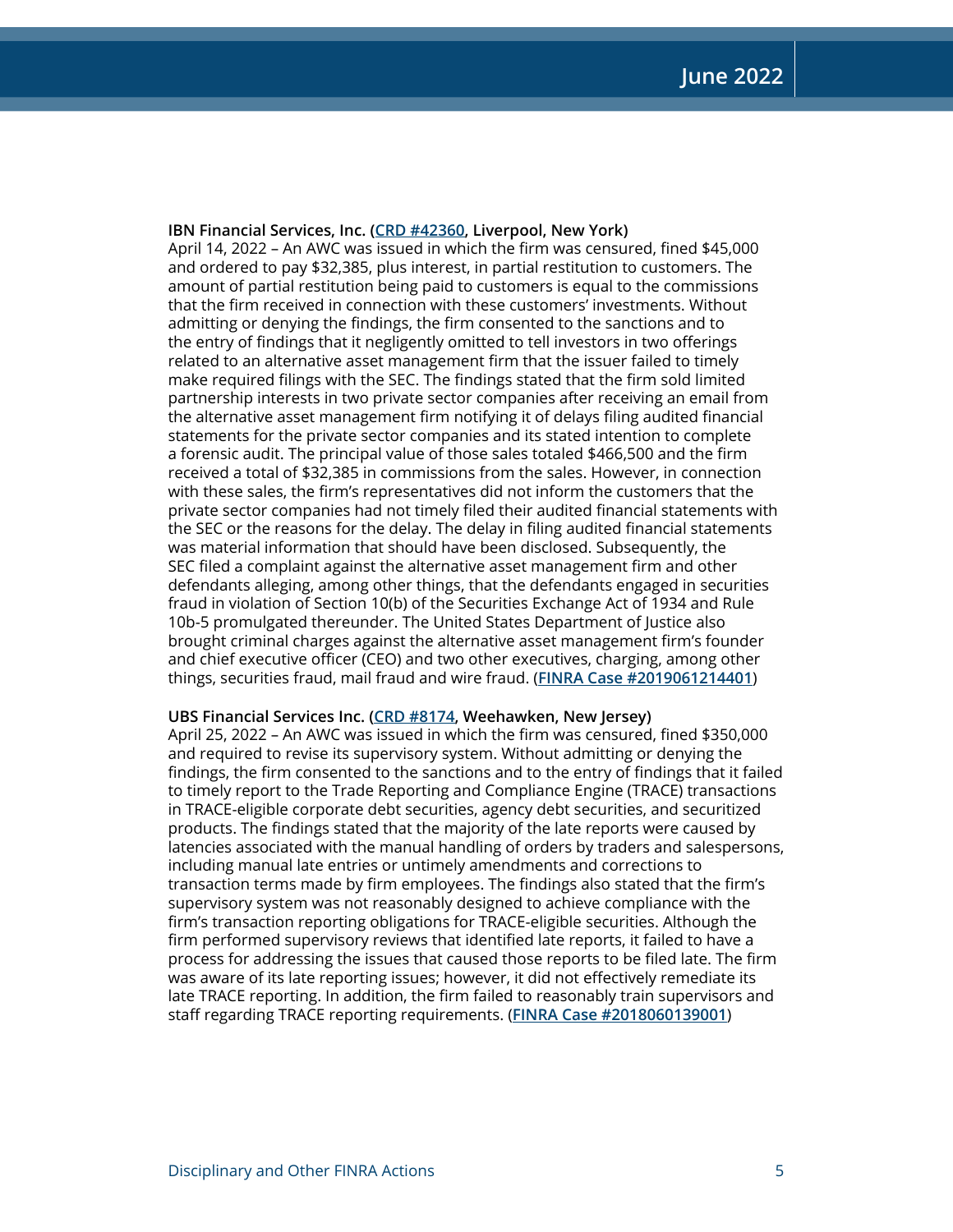#### **IBN Financial Services, Inc. [\(CRD #42360,](http://brokercheck.finra.org/firm/summary/42360) Liverpool, New York)**

April 14, 2022 – An AWC was issued in which the firm was censured, fined \$45,000 and ordered to pay \$32,385, plus interest, in partial restitution to customers. The amount of partial restitution being paid to customers is equal to the commissions that the firm received in connection with these customers' investments. Without admitting or denying the findings, the firm consented to the sanctions and to the entry of findings that it negligently omitted to tell investors in two offerings related to an alternative asset management firm that the issuer failed to timely make required filings with the SEC. The findings stated that the firm sold limited partnership interests in two private sector companies after receiving an email from the alternative asset management firm notifying it of delays filing audited financial statements for the private sector companies and its stated intention to complete a forensic audit. The principal value of those sales totaled \$466,500 and the firm received a total of \$32,385 in commissions from the sales. However, in connection with these sales, the firm's representatives did not inform the customers that the private sector companies had not timely filed their audited financial statements with the SEC or the reasons for the delay. The delay in filing audited financial statements was material information that should have been disclosed. Subsequently, the SEC filed a complaint against the alternative asset management firm and other defendants alleging, among other things, that the defendants engaged in securities fraud in violation of Section 10(b) of the Securities Exchange Act of 1934 and Rule 10b-5 promulgated thereunder. The United States Department of Justice also brought criminal charges against the alternative asset management firm's founder and chief executive officer (CEO) and two other executives, charging, among other things, securities fraud, mail fraud and wire fraud. (**[FINRA Case #2019061214401](https://www.finra.org/rules-guidance/oversight-enforcement/finra-disciplinary-actions?search=2019061214401)**)

#### **UBS Financial Services Inc. [\(CRD #8174](http://brokercheck.finra.org/firm/summary/8174), Weehawken, New Jersey)**

April 25, 2022 – An AWC was issued in which the firm was censured, fined \$350,000 and required to revise its supervisory system. Without admitting or denying the findings, the firm consented to the sanctions and to the entry of findings that it failed to timely report to the Trade Reporting and Compliance Engine (TRACE) transactions in TRACE-eligible corporate debt securities, agency debt securities, and securitized products. The findings stated that the majority of the late reports were caused by latencies associated with the manual handling of orders by traders and salespersons, including manual late entries or untimely amendments and corrections to transaction terms made by firm employees. The findings also stated that the firm's supervisory system was not reasonably designed to achieve compliance with the firm's transaction reporting obligations for TRACE-eligible securities. Although the firm performed supervisory reviews that identified late reports, it failed to have a process for addressing the issues that caused those reports to be filed late. The firm was aware of its late reporting issues; however, it did not effectively remediate its late TRACE reporting. In addition, the firm failed to reasonably train supervisors and staff regarding TRACE reporting requirements. (**[FINRA Case #2018060139001](https://www.finra.org/rules-guidance/oversight-enforcement/finra-disciplinary-actions?search=2018060139001)**)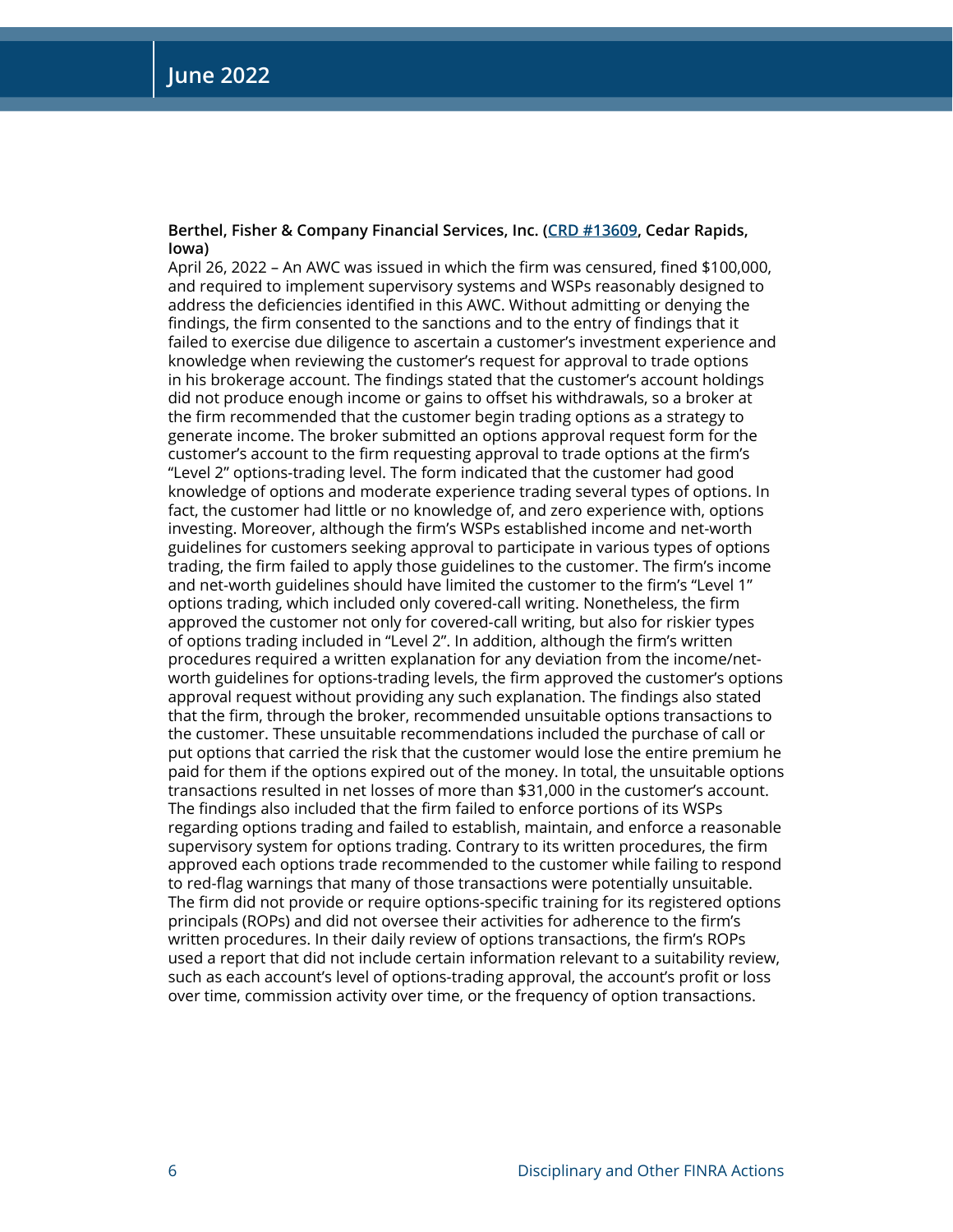#### **Berthel, Fisher & Company Financial Services, Inc. [\(CRD #13609,](http://brokercheck.finra.org/firm/summary/13609) Cedar Rapids, Iowa)**

April 26, 2022 – An AWC was issued in which the firm was censured, fined \$100,000, and required to implement supervisory systems and WSPs reasonably designed to address the deficiencies identified in this AWC. Without admitting or denying the findings, the firm consented to the sanctions and to the entry of findings that it failed to exercise due diligence to ascertain a customer's investment experience and knowledge when reviewing the customer's request for approval to trade options in his brokerage account. The findings stated that the customer's account holdings did not produce enough income or gains to offset his withdrawals, so a broker at the firm recommended that the customer begin trading options as a strategy to generate income. The broker submitted an options approval request form for the customer's account to the firm requesting approval to trade options at the firm's "Level 2" options-trading level. The form indicated that the customer had good knowledge of options and moderate experience trading several types of options. In fact, the customer had little or no knowledge of, and zero experience with, options investing. Moreover, although the firm's WSPs established income and net-worth guidelines for customers seeking approval to participate in various types of options trading, the firm failed to apply those guidelines to the customer. The firm's income and net-worth guidelines should have limited the customer to the firm's "Level 1" options trading, which included only covered-call writing. Nonetheless, the firm approved the customer not only for covered-call writing, but also for riskier types of options trading included in "Level 2". In addition, although the firm's written procedures required a written explanation for any deviation from the income/networth guidelines for options-trading levels, the firm approved the customer's options approval request without providing any such explanation. The findings also stated that the firm, through the broker, recommended unsuitable options transactions to the customer. These unsuitable recommendations included the purchase of call or put options that carried the risk that the customer would lose the entire premium he paid for them if the options expired out of the money. In total, the unsuitable options transactions resulted in net losses of more than \$31,000 in the customer's account. The findings also included that the firm failed to enforce portions of its WSPs regarding options trading and failed to establish, maintain, and enforce a reasonable supervisory system for options trading. Contrary to its written procedures, the firm approved each options trade recommended to the customer while failing to respond to red-flag warnings that many of those transactions were potentially unsuitable. The firm did not provide or require options-specific training for its registered options principals (ROPs) and did not oversee their activities for adherence to the firm's written procedures. In their daily review of options transactions, the firm's ROPs used a report that did not include certain information relevant to a suitability review, such as each account's level of options-trading approval, the account's profit or loss over time, commission activity over time, or the frequency of option transactions.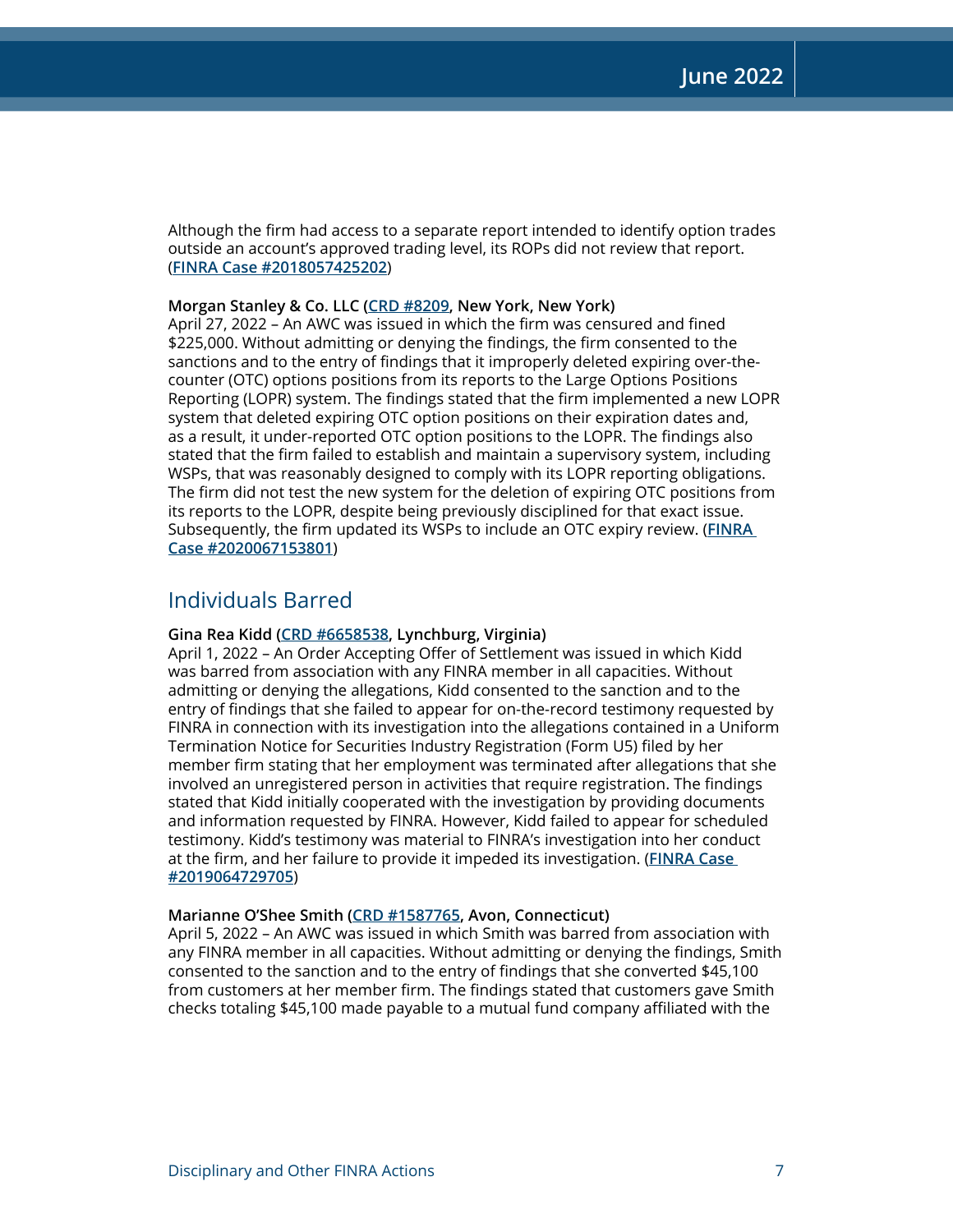Although the firm had access to a separate report intended to identify option trades outside an account's approved trading level, its ROPs did not review that report. (**[FINRA Case #2018057425202](https://www.finra.org/rules-guidance/oversight-enforcement/finra-disciplinary-actions?search=2018057425202)**)

#### **Morgan Stanley & Co. LLC ([CRD #8209,](http://brokercheck.finra.org/firm/summary/8209) New York, New York)**

April 27, 2022 – An AWC was issued in which the firm was censured and fined \$225,000. Without admitting or denying the findings, the firm consented to the sanctions and to the entry of findings that it improperly deleted expiring over-thecounter (OTC) options positions from its reports to the Large Options Positions Reporting (LOPR) system. The findings stated that the firm implemented a new LOPR system that deleted expiring OTC option positions on their expiration dates and, as a result, it under-reported OTC option positions to the LOPR. The findings also stated that the firm failed to establish and maintain a supervisory system, including WSPs, that was reasonably designed to comply with its LOPR reporting obligations. The firm did not test the new system for the deletion of expiring OTC positions from its reports to the LOPR, despite being previously disciplined for that exact issue. Subsequently, the firm updated its WSPs to include an OTC expiry review. (**[FINRA](https://www.finra.org/rules-guidance/oversight-enforcement/finra-disciplinary-actions?search=2020067153801)  [Case #2020067153801](https://www.finra.org/rules-guidance/oversight-enforcement/finra-disciplinary-actions?search=2020067153801)**)

## Individuals Barred

#### **Gina Rea Kidd ([CRD #6658538,](http://brokercheck.finra.org/individual/summary/6658538) Lynchburg, Virginia)**

April 1, 2022 – An Order Accepting Offer of Settlement was issued in which Kidd was barred from association with any FINRA member in all capacities. Without admitting or denying the allegations, Kidd consented to the sanction and to the entry of findings that she failed to appear for on-the-record testimony requested by FINRA in connection with its investigation into the allegations contained in a Uniform Termination Notice for Securities Industry Registration (Form U5) filed by her member firm stating that her employment was terminated after allegations that she involved an unregistered person in activities that require registration. The findings stated that Kidd initially cooperated with the investigation by providing documents and information requested by FINRA. However, Kidd failed to appear for scheduled testimony. Kidd's testimony was material to FINRA's investigation into her conduct at the firm, and her failure to provide it impeded its investigation. (**[FINRA Case](https://www.finra.org/rules-guidance/oversight-enforcement/finra-disciplinary-actions?search=2019064729705)  [#2019064729705](https://www.finra.org/rules-guidance/oversight-enforcement/finra-disciplinary-actions?search=2019064729705)**)

#### **Marianne O'Shee Smith ([CRD #1587765,](http://brokercheck.finra.org/individual/summary/1587765) Avon, Connecticut)**

April 5, 2022 – An AWC was issued in which Smith was barred from association with any FINRA member in all capacities. Without admitting or denying the findings, Smith consented to the sanction and to the entry of findings that she converted \$45,100 from customers at her member firm. The findings stated that customers gave Smith checks totaling \$45,100 made payable to a mutual fund company affiliated with the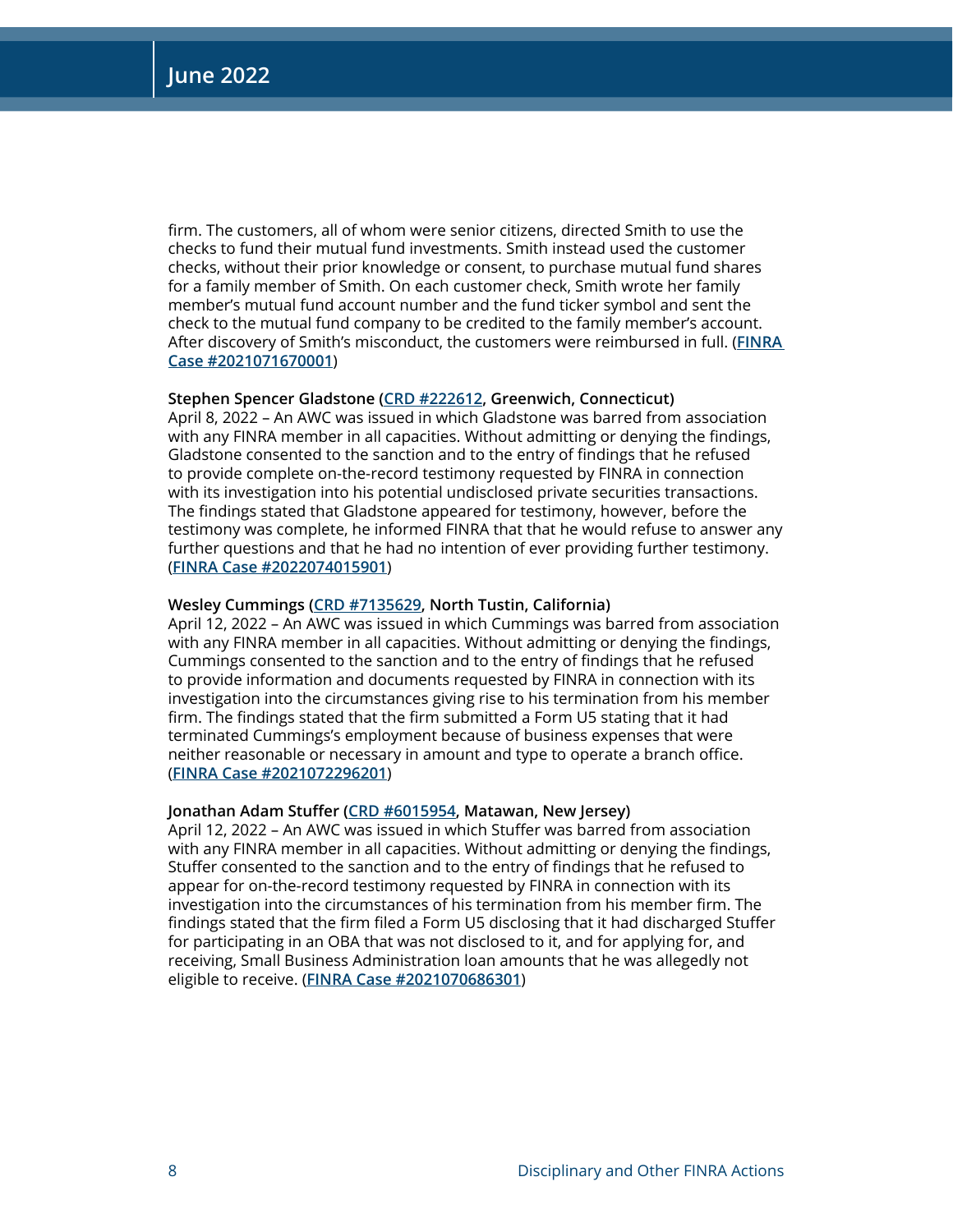firm. The customers, all of whom were senior citizens, directed Smith to use the checks to fund their mutual fund investments. Smith instead used the customer checks, without their prior knowledge or consent, to purchase mutual fund shares for a family member of Smith. On each customer check, Smith wrote her family member's mutual fund account number and the fund ticker symbol and sent the check to the mutual fund company to be credited to the family member's account. After discovery of Smith's misconduct, the customers were reimbursed in full. (**[FINRA](https://www.finra.org/rules-guidance/oversight-enforcement/finra-disciplinary-actions?search=2021071670001)  [Case #2021071670001](https://www.finra.org/rules-guidance/oversight-enforcement/finra-disciplinary-actions?search=2021071670001)**)

#### **Stephen Spencer Gladstone ([CRD #222612](http://brokercheck.finra.org/individual/summary/222612), Greenwich, Connecticut)**

April 8, 2022 – An AWC was issued in which Gladstone was barred from association with any FINRA member in all capacities. Without admitting or denying the findings, Gladstone consented to the sanction and to the entry of findings that he refused to provide complete on-the-record testimony requested by FINRA in connection with its investigation into his potential undisclosed private securities transactions. The findings stated that Gladstone appeared for testimony, however, before the testimony was complete, he informed FINRA that that he would refuse to answer any further questions and that he had no intention of ever providing further testimony. (**[FINRA Case #2022074015901](https://www.finra.org/rules-guidance/oversight-enforcement/finra-disciplinary-actions?search=2022074015901)**)

#### **Wesley Cummings ([CRD #7135629,](http://brokercheck.finra.org/individual/summary/7135629) North Tustin, California)**

April 12, 2022 – An AWC was issued in which Cummings was barred from association with any FINRA member in all capacities. Without admitting or denying the findings, Cummings consented to the sanction and to the entry of findings that he refused to provide information and documents requested by FINRA in connection with its investigation into the circumstances giving rise to his termination from his member firm. The findings stated that the firm submitted a Form U5 stating that it had terminated Cummings's employment because of business expenses that were neither reasonable or necessary in amount and type to operate a branch office. (**[FINRA Case #2021072296201](https://www.finra.org/rules-guidance/oversight-enforcement/finra-disciplinary-actions?search=2021072296201)**)

#### **Jonathan Adam Stuffer ([CRD #6015954](http://brokercheck.finra.org/individual/summary/6015954), Matawan, New Jersey)**

April 12, 2022 – An AWC was issued in which Stuffer was barred from association with any FINRA member in all capacities. Without admitting or denying the findings, Stuffer consented to the sanction and to the entry of findings that he refused to appear for on-the-record testimony requested by FINRA in connection with its investigation into the circumstances of his termination from his member firm. The findings stated that the firm filed a Form U5 disclosing that it had discharged Stuffer for participating in an OBA that was not disclosed to it, and for applying for, and receiving, Small Business Administration loan amounts that he was allegedly not eligible to receive. (**[FINRA Case #2021070686301](https://www.finra.org/rules-guidance/oversight-enforcement/finra-disciplinary-actions?search=2021070686301)**)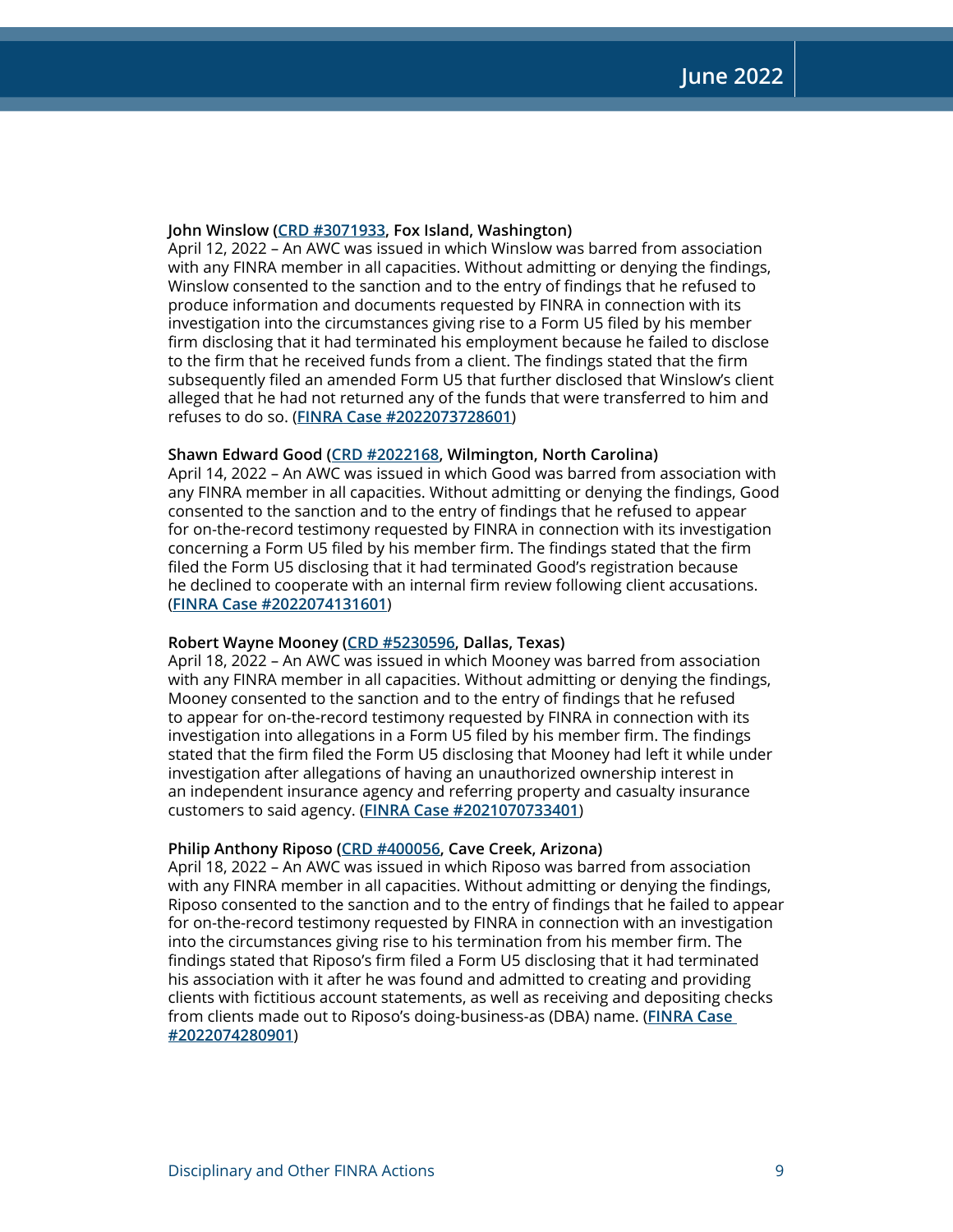#### **John Winslow ([CRD #3071933,](http://brokercheck.finra.org/individual/summary/3071933) Fox Island, Washington)**

April 12, 2022 – An AWC was issued in which Winslow was barred from association with any FINRA member in all capacities. Without admitting or denying the findings, Winslow consented to the sanction and to the entry of findings that he refused to produce information and documents requested by FINRA in connection with its investigation into the circumstances giving rise to a Form U5 filed by his member firm disclosing that it had terminated his employment because he failed to disclose to the firm that he received funds from a client. The findings stated that the firm subsequently filed an amended Form U5 that further disclosed that Winslow's client alleged that he had not returned any of the funds that were transferred to him and refuses to do so. (**[FINRA Case #2022073728601](https://www.finra.org/rules-guidance/oversight-enforcement/finra-disciplinary-actions?search=2022073728601)**)

#### **Shawn Edward Good [\(CRD #2022168](http://brokercheck.finra.org/individual/summary/2022168), Wilmington, North Carolina)**

April 14, 2022 – An AWC was issued in which Good was barred from association with any FINRA member in all capacities. Without admitting or denying the findings, Good consented to the sanction and to the entry of findings that he refused to appear for on-the-record testimony requested by FINRA in connection with its investigation concerning a Form U5 filed by his member firm. The findings stated that the firm filed the Form U5 disclosing that it had terminated Good's registration because he declined to cooperate with an internal firm review following client accusations. (**[FINRA Case #2022074131601](https://www.finra.org/rules-guidance/oversight-enforcement/finra-disciplinary-actions?search=2022074131601)**)

#### **Robert Wayne Mooney [\(CRD #5230596](http://brokercheck.finra.org/individual/summary/5230596), Dallas, Texas)**

April 18, 2022 – An AWC was issued in which Mooney was barred from association with any FINRA member in all capacities. Without admitting or denying the findings, Mooney consented to the sanction and to the entry of findings that he refused to appear for on-the-record testimony requested by FINRA in connection with its investigation into allegations in a Form U5 filed by his member firm. The findings stated that the firm filed the Form U5 disclosing that Mooney had left it while under investigation after allegations of having an unauthorized ownership interest in an independent insurance agency and referring property and casualty insurance customers to said agency. (**[FINRA Case #2021070733401](https://www.finra.org/rules-guidance/oversight-enforcement/finra-disciplinary-actions?search=2021070733401)**)

#### **Philip Anthony Riposo ([CRD #400056,](http://brokercheck.finra.org/individual/summary/400056) Cave Creek, Arizona)**

April 18, 2022 – An AWC was issued in which Riposo was barred from association with any FINRA member in all capacities. Without admitting or denying the findings, Riposo consented to the sanction and to the entry of findings that he failed to appear for on-the-record testimony requested by FINRA in connection with an investigation into the circumstances giving rise to his termination from his member firm. The findings stated that Riposo's firm filed a Form U5 disclosing that it had terminated his association with it after he was found and admitted to creating and providing clients with fictitious account statements, as well as receiving and depositing checks from clients made out to Riposo's doing-business-as (DBA) name. (**[FINRA Case](https://www.finra.org/rules-guidance/oversight-enforcement/finra-disciplinary-actions?search=2022074280901)  [#2022074280901](https://www.finra.org/rules-guidance/oversight-enforcement/finra-disciplinary-actions?search=2022074280901)**)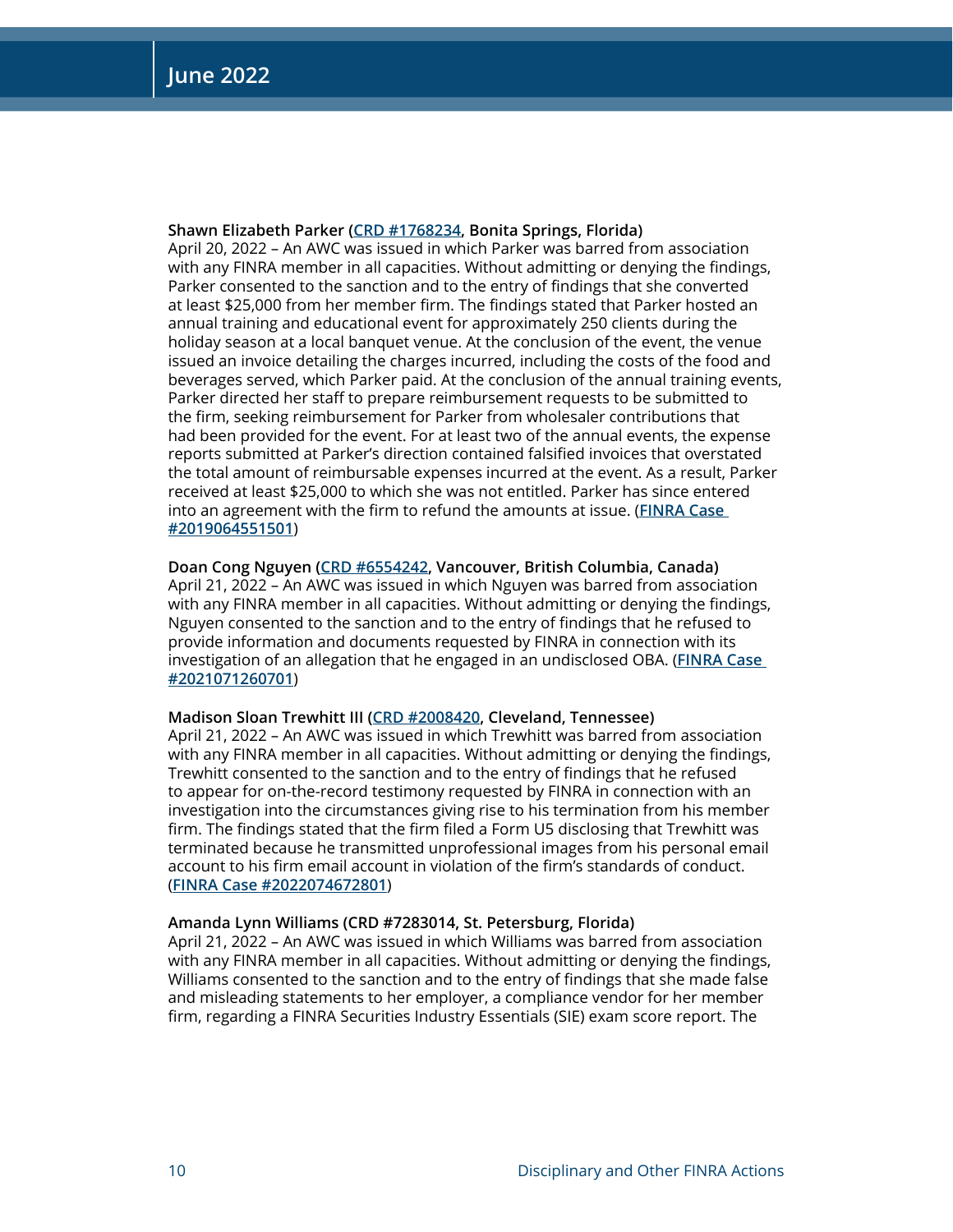#### **Shawn Elizabeth Parker [\(CRD #1768234](http://brokercheck.finra.org/individual/summary/1768234), Bonita Springs, Florida)**

April 20, 2022 – An AWC was issued in which Parker was barred from association with any FINRA member in all capacities. Without admitting or denying the findings, Parker consented to the sanction and to the entry of findings that she converted at least \$25,000 from her member firm. The findings stated that Parker hosted an annual training and educational event for approximately 250 clients during the holiday season at a local banquet venue. At the conclusion of the event, the venue issued an invoice detailing the charges incurred, including the costs of the food and beverages served, which Parker paid. At the conclusion of the annual training events, Parker directed her staff to prepare reimbursement requests to be submitted to the firm, seeking reimbursement for Parker from wholesaler contributions that had been provided for the event. For at least two of the annual events, the expense reports submitted at Parker's direction contained falsified invoices that overstated the total amount of reimbursable expenses incurred at the event. As a result, Parker received at least \$25,000 to which she was not entitled. Parker has since entered into an agreement with the firm to refund the amounts at issue. (**[FINRA Case](https://www.finra.org/rules-guidance/oversight-enforcement/finra-disciplinary-actions?search=2019064551501)  [#2019064551501](https://www.finra.org/rules-guidance/oversight-enforcement/finra-disciplinary-actions?search=2019064551501)**)

#### **Doan Cong Nguyen [\(CRD #6554242](http://brokercheck.finra.org/individual/summary/6554242), Vancouver, British Columbia, Canada)**

April 21, 2022 – An AWC was issued in which Nguyen was barred from association with any FINRA member in all capacities. Without admitting or denying the findings, Nguyen consented to the sanction and to the entry of findings that he refused to provide information and documents requested by FINRA in connection with its investigation of an allegation that he engaged in an undisclosed OBA. (**[FINRA Case](https://www.finra.org/rules-guidance/oversight-enforcement/finra-disciplinary-actions?search=2021071260701)  [#2021071260701](https://www.finra.org/rules-guidance/oversight-enforcement/finra-disciplinary-actions?search=2021071260701)**)

#### **Madison Sloan Trewhitt III ([CRD #2008420,](http://brokercheck.finra.org/individual/summary/2008420) Cleveland, Tennessee)**

April 21, 2022 – An AWC was issued in which Trewhitt was barred from association with any FINRA member in all capacities. Without admitting or denying the findings, Trewhitt consented to the sanction and to the entry of findings that he refused to appear for on-the-record testimony requested by FINRA in connection with an investigation into the circumstances giving rise to his termination from his member firm. The findings stated that the firm filed a Form U5 disclosing that Trewhitt was terminated because he transmitted unprofessional images from his personal email account to his firm email account in violation of the firm's standards of conduct. (**[FINRA Case #2022074672801](https://www.finra.org/rules-guidance/oversight-enforcement/finra-disciplinary-actions?search=2022074672801)**)

#### **Amanda Lynn Williams (CRD #7283014, St. Petersburg, Florida)**

April 21, 2022 – An AWC was issued in which Williams was barred from association with any FINRA member in all capacities. Without admitting or denying the findings, Williams consented to the sanction and to the entry of findings that she made false and misleading statements to her employer, a compliance vendor for her member firm, regarding a FINRA Securities Industry Essentials (SIE) exam score report. The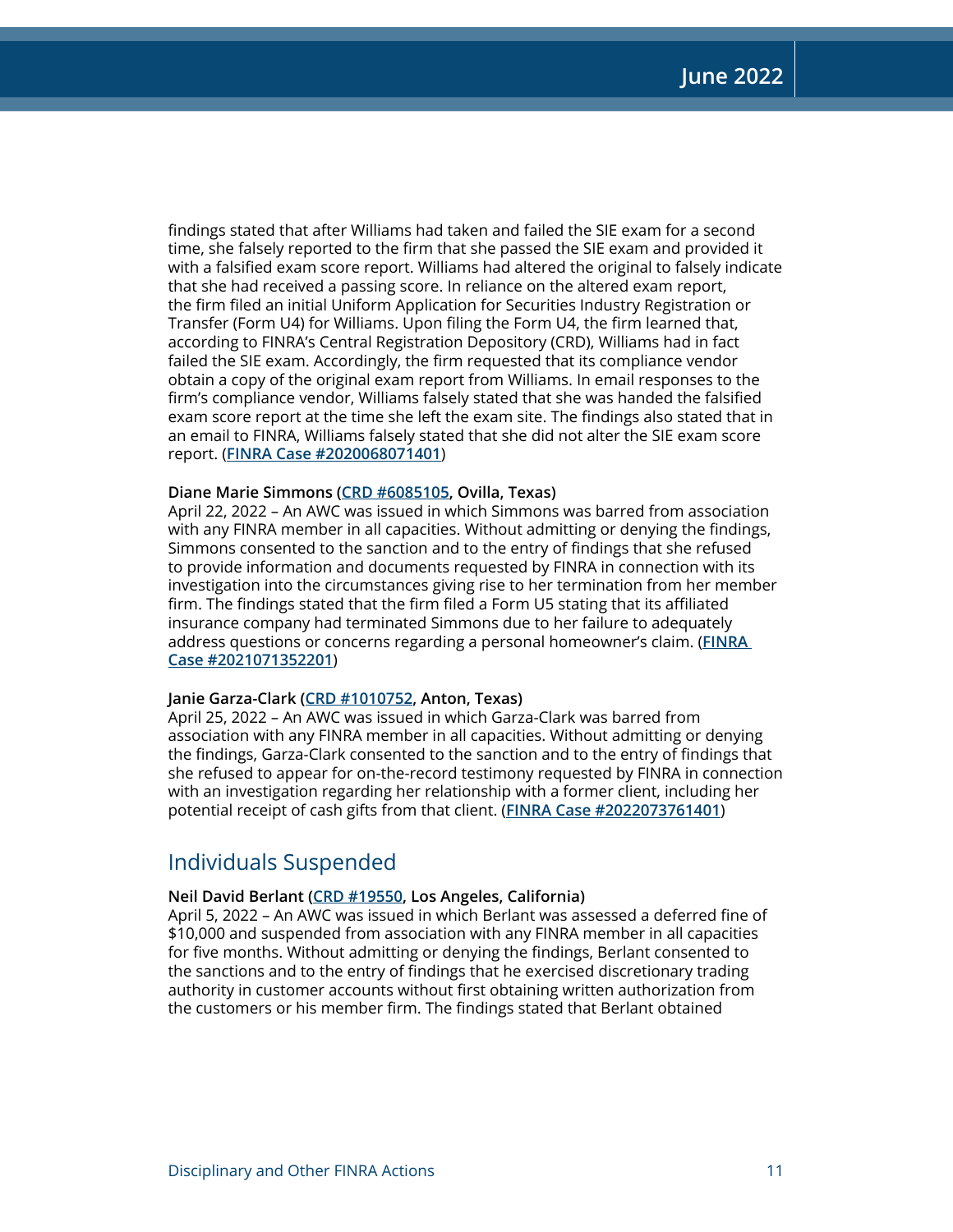findings stated that after Williams had taken and failed the SIE exam for a second time, she falsely reported to the firm that she passed the SIE exam and provided it with a falsified exam score report. Williams had altered the original to falsely indicate that she had received a passing score. In reliance on the altered exam report, the firm filed an initial Uniform Application for Securities Industry Registration or Transfer (Form U4) for Williams. Upon filing the Form U4, the firm learned that, according to FINRA's Central Registration Depository (CRD), Williams had in fact failed the SIE exam. Accordingly, the firm requested that its compliance vendor obtain a copy of the original exam report from Williams. In email responses to the firm's compliance vendor, Williams falsely stated that she was handed the falsified exam score report at the time she left the exam site. The findings also stated that in an email to FINRA, Williams falsely stated that she did not alter the SIE exam score report. (**[FINRA Case #2020068071401](https://www.finra.org/rules-guidance/oversight-enforcement/finra-disciplinary-actions?search=2020068071401)**)

#### **Diane Marie Simmons ([CRD #6085105,](http://brokercheck.finra.org/individual/summary/6085105) Ovilla, Texas)**

April 22, 2022 – An AWC was issued in which Simmons was barred from association with any FINRA member in all capacities. Without admitting or denying the findings, Simmons consented to the sanction and to the entry of findings that she refused to provide information and documents requested by FINRA in connection with its investigation into the circumstances giving rise to her termination from her member firm. The findings stated that the firm filed a Form U5 stating that its affiliated insurance company had terminated Simmons due to her failure to adequately address questions or concerns regarding a personal homeowner's claim. (**[FINRA](https://www.finra.org/rules-guidance/oversight-enforcement/finra-disciplinary-actions?search=2021071352201)  [Case #2021071352201](https://www.finra.org/rules-guidance/oversight-enforcement/finra-disciplinary-actions?search=2021071352201)**)

#### **Janie Garza-Clark [\(CRD #1010752](http://brokercheck.finra.org/individual/summary/1010752), Anton, Texas)**

April 25, 2022 – An AWC was issued in which Garza-Clark was barred from association with any FINRA member in all capacities. Without admitting or denying the findings, Garza-Clark consented to the sanction and to the entry of findings that she refused to appear for on-the-record testimony requested by FINRA in connection with an investigation regarding her relationship with a former client, including her potential receipt of cash gifts from that client. (**[FINRA Case #2022073761401](https://www.finra.org/rules-guidance/oversight-enforcement/finra-disciplinary-actions?search=2022073761401)**)

### Individuals Suspended

#### **Neil David Berlant [\(CRD #19550,](http://brokercheck.finra.org/individual/summary/19550) Los Angeles, California)**

April 5, 2022 – An AWC was issued in which Berlant was assessed a deferred fine of \$10,000 and suspended from association with any FINRA member in all capacities for five months. Without admitting or denying the findings, Berlant consented to the sanctions and to the entry of findings that he exercised discretionary trading authority in customer accounts without first obtaining written authorization from the customers or his member firm. The findings stated that Berlant obtained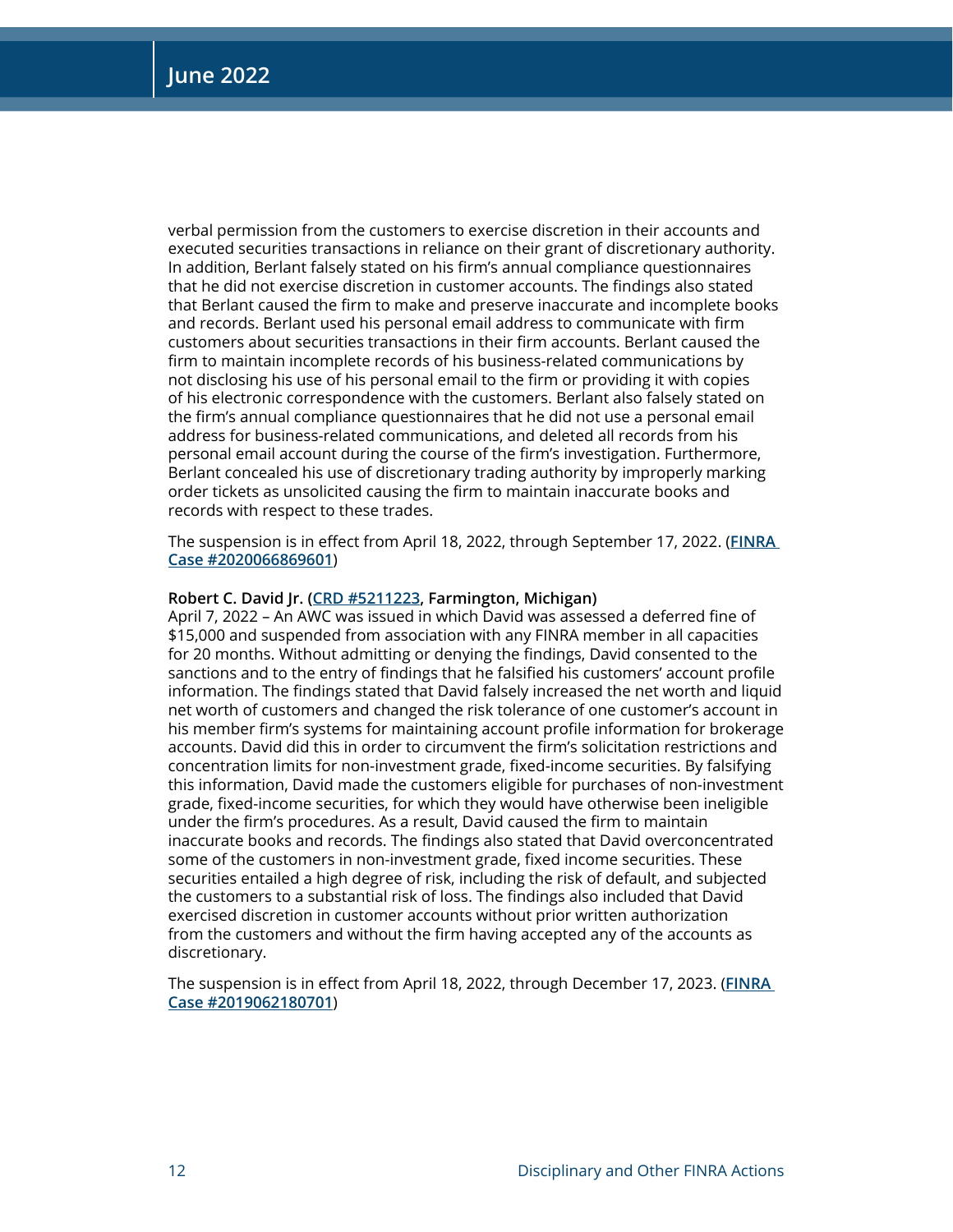verbal permission from the customers to exercise discretion in their accounts and executed securities transactions in reliance on their grant of discretionary authority. In addition, Berlant falsely stated on his firm's annual compliance questionnaires that he did not exercise discretion in customer accounts. The findings also stated that Berlant caused the firm to make and preserve inaccurate and incomplete books and records. Berlant used his personal email address to communicate with firm customers about securities transactions in their firm accounts. Berlant caused the firm to maintain incomplete records of his business-related communications by not disclosing his use of his personal email to the firm or providing it with copies of his electronic correspondence with the customers. Berlant also falsely stated on the firm's annual compliance questionnaires that he did not use a personal email address for business-related communications, and deleted all records from his personal email account during the course of the firm's investigation. Furthermore, Berlant concealed his use of discretionary trading authority by improperly marking order tickets as unsolicited causing the firm to maintain inaccurate books and records with respect to these trades.

The suspension is in effect from April 18, 2022, through September 17, 2022. (**[FINRA](https://www.finra.org/rules-guidance/oversight-enforcement/finra-disciplinary-actions?search=2020066869601)  [Case #2020066869601](https://www.finra.org/rules-guidance/oversight-enforcement/finra-disciplinary-actions?search=2020066869601)**)

#### **Robert C. David Jr. ([CRD #5211223](http://brokercheck.finra.org/individual/summary/5211223), Farmington, Michigan)**

April 7, 2022 – An AWC was issued in which David was assessed a deferred fine of \$15,000 and suspended from association with any FINRA member in all capacities for 20 months. Without admitting or denying the findings, David consented to the sanctions and to the entry of findings that he falsified his customers' account profile information. The findings stated that David falsely increased the net worth and liquid net worth of customers and changed the risk tolerance of one customer's account in his member firm's systems for maintaining account profile information for brokerage accounts. David did this in order to circumvent the firm's solicitation restrictions and concentration limits for non-investment grade, fixed-income securities. By falsifying this information, David made the customers eligible for purchases of non-investment grade, fixed-income securities, for which they would have otherwise been ineligible under the firm's procedures. As a result, David caused the firm to maintain inaccurate books and records. The findings also stated that David overconcentrated some of the customers in non-investment grade, fixed income securities. These securities entailed a high degree of risk, including the risk of default, and subjected the customers to a substantial risk of loss. The findings also included that David exercised discretion in customer accounts without prior written authorization from the customers and without the firm having accepted any of the accounts as discretionary.

The suspension is in effect from April 18, 2022, through December 17, 2023. (**[FINRA](https://www.finra.org/rules-guidance/oversight-enforcement/finra-disciplinary-actions?search=2019062180701)  [Case #2019062180701](https://www.finra.org/rules-guidance/oversight-enforcement/finra-disciplinary-actions?search=2019062180701)**)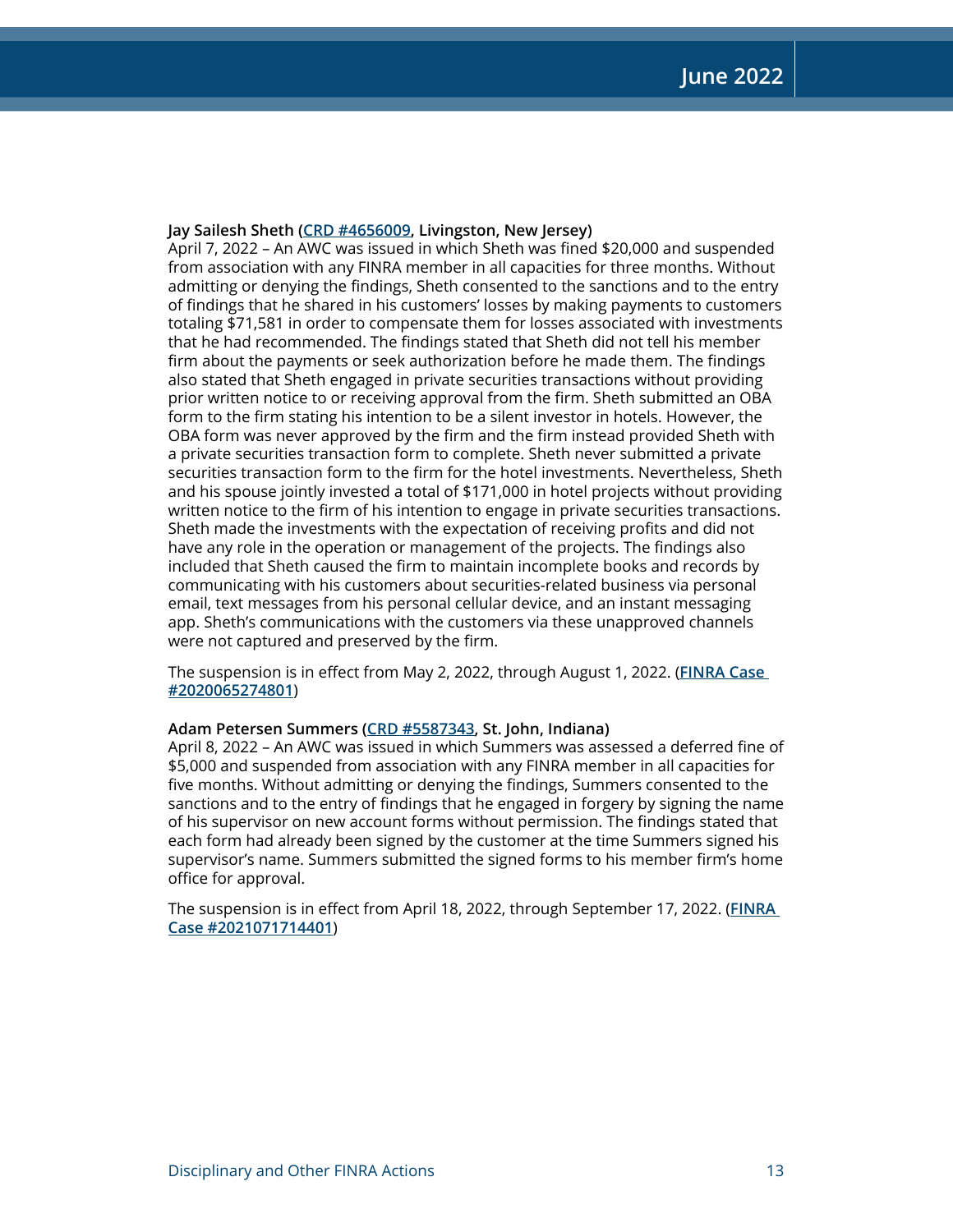#### **Jay Sailesh Sheth ([CRD #4656009,](http://brokercheck.finra.org/individual/summary/4656009) Livingston, New Jersey)**

April 7, 2022 – An AWC was issued in which Sheth was fined \$20,000 and suspended from association with any FINRA member in all capacities for three months. Without admitting or denying the findings, Sheth consented to the sanctions and to the entry of findings that he shared in his customers' losses by making payments to customers totaling \$71,581 in order to compensate them for losses associated with investments that he had recommended. The findings stated that Sheth did not tell his member firm about the payments or seek authorization before he made them. The findings also stated that Sheth engaged in private securities transactions without providing prior written notice to or receiving approval from the firm. Sheth submitted an OBA form to the firm stating his intention to be a silent investor in hotels. However, the OBA form was never approved by the firm and the firm instead provided Sheth with a private securities transaction form to complete. Sheth never submitted a private securities transaction form to the firm for the hotel investments. Nevertheless, Sheth and his spouse jointly invested a total of \$171,000 in hotel projects without providing written notice to the firm of his intention to engage in private securities transactions. Sheth made the investments with the expectation of receiving profits and did not have any role in the operation or management of the projects. The findings also included that Sheth caused the firm to maintain incomplete books and records by communicating with his customers about securities-related business via personal email, text messages from his personal cellular device, and an instant messaging app. Sheth's communications with the customers via these unapproved channels were not captured and preserved by the firm.

The suspension is in effect from May 2, 2022, through August 1, 2022. (**[FINRA Case](https://www.finra.org/rules-guidance/oversight-enforcement/finra-disciplinary-actions?search=2020065274801)  [#2020065274801](https://www.finra.org/rules-guidance/oversight-enforcement/finra-disciplinary-actions?search=2020065274801)**)

#### **Adam Petersen Summers ([CRD #5587343](http://brokercheck.finra.org/individual/summary/5587343), St. John, Indiana)**

April 8, 2022 – An AWC was issued in which Summers was assessed a deferred fine of \$5,000 and suspended from association with any FINRA member in all capacities for five months. Without admitting or denying the findings, Summers consented to the sanctions and to the entry of findings that he engaged in forgery by signing the name of his supervisor on new account forms without permission. The findings stated that each form had already been signed by the customer at the time Summers signed his supervisor's name. Summers submitted the signed forms to his member firm's home office for approval.

The suspension is in effect from April 18, 2022, through September 17, 2022. (**[FINRA](https://www.finra.org/rules-guidance/oversight-enforcement/finra-disciplinary-actions?search=2021071714401)  [Case #2021071714401](https://www.finra.org/rules-guidance/oversight-enforcement/finra-disciplinary-actions?search=2021071714401)**)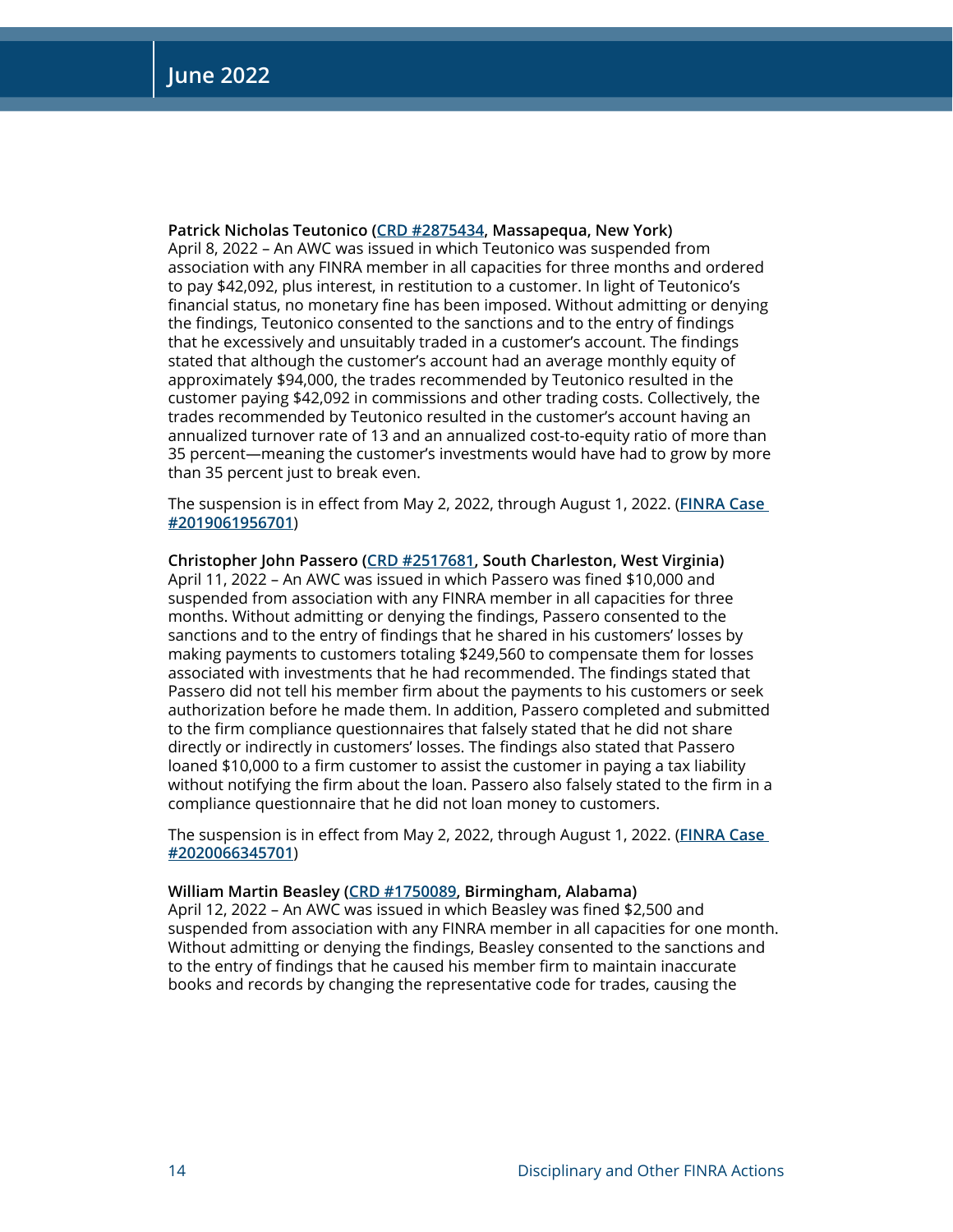**Patrick Nicholas Teutonico [\(CRD #2875434](http://brokercheck.finra.org/individual/summary/2875434), Massapequa, New York)** April 8, 2022 – An AWC was issued in which Teutonico was suspended from association with any FINRA member in all capacities for three months and ordered to pay \$42,092, plus interest, in restitution to a customer. In light of Teutonico's financial status, no monetary fine has been imposed. Without admitting or denying the findings, Teutonico consented to the sanctions and to the entry of findings that he excessively and unsuitably traded in a customer's account. The findings stated that although the customer's account had an average monthly equity of approximately \$94,000, the trades recommended by Teutonico resulted in the customer paying \$42,092 in commissions and other trading costs. Collectively, the trades recommended by Teutonico resulted in the customer's account having an annualized turnover rate of 13 and an annualized cost-to-equity ratio of more than 35 percent—meaning the customer's investments would have had to grow by more than 35 percent just to break even.

The suspension is in effect from May 2, 2022, through August 1, 2022. (**[FINRA Case](https://www.finra.org/rules-guidance/oversight-enforcement/finra-disciplinary-actions?search=2019061956701)  [#2019061956701](https://www.finra.org/rules-guidance/oversight-enforcement/finra-disciplinary-actions?search=2019061956701)**)

**Christopher John Passero ([CRD #2517681](http://brokercheck.finra.org/individual/summary/2517681), South Charleston, West Virginia)** April 11, 2022 – An AWC was issued in which Passero was fined \$10,000 and suspended from association with any FINRA member in all capacities for three months. Without admitting or denying the findings, Passero consented to the sanctions and to the entry of findings that he shared in his customers' losses by making payments to customers totaling \$249,560 to compensate them for losses associated with investments that he had recommended. The findings stated that Passero did not tell his member firm about the payments to his customers or seek authorization before he made them. In addition, Passero completed and submitted to the firm compliance questionnaires that falsely stated that he did not share directly or indirectly in customers' losses. The findings also stated that Passero loaned \$10,000 to a firm customer to assist the customer in paying a tax liability without notifying the firm about the loan. Passero also falsely stated to the firm in a compliance questionnaire that he did not loan money to customers.

The suspension is in effect from May 2, 2022, through August 1, 2022. (**[FINRA Case](https://www.finra.org/rules-guidance/oversight-enforcement/finra-disciplinary-actions?search=2020066345701)  [#2020066345701](https://www.finra.org/rules-guidance/oversight-enforcement/finra-disciplinary-actions?search=2020066345701)**)

#### **William Martin Beasley [\(CRD #1750089](http://brokercheck.finra.org/individual/summary/1750089), Birmingham, Alabama)**

April 12, 2022 – An AWC was issued in which Beasley was fined \$2,500 and suspended from association with any FINRA member in all capacities for one month. Without admitting or denying the findings, Beasley consented to the sanctions and to the entry of findings that he caused his member firm to maintain inaccurate books and records by changing the representative code for trades, causing the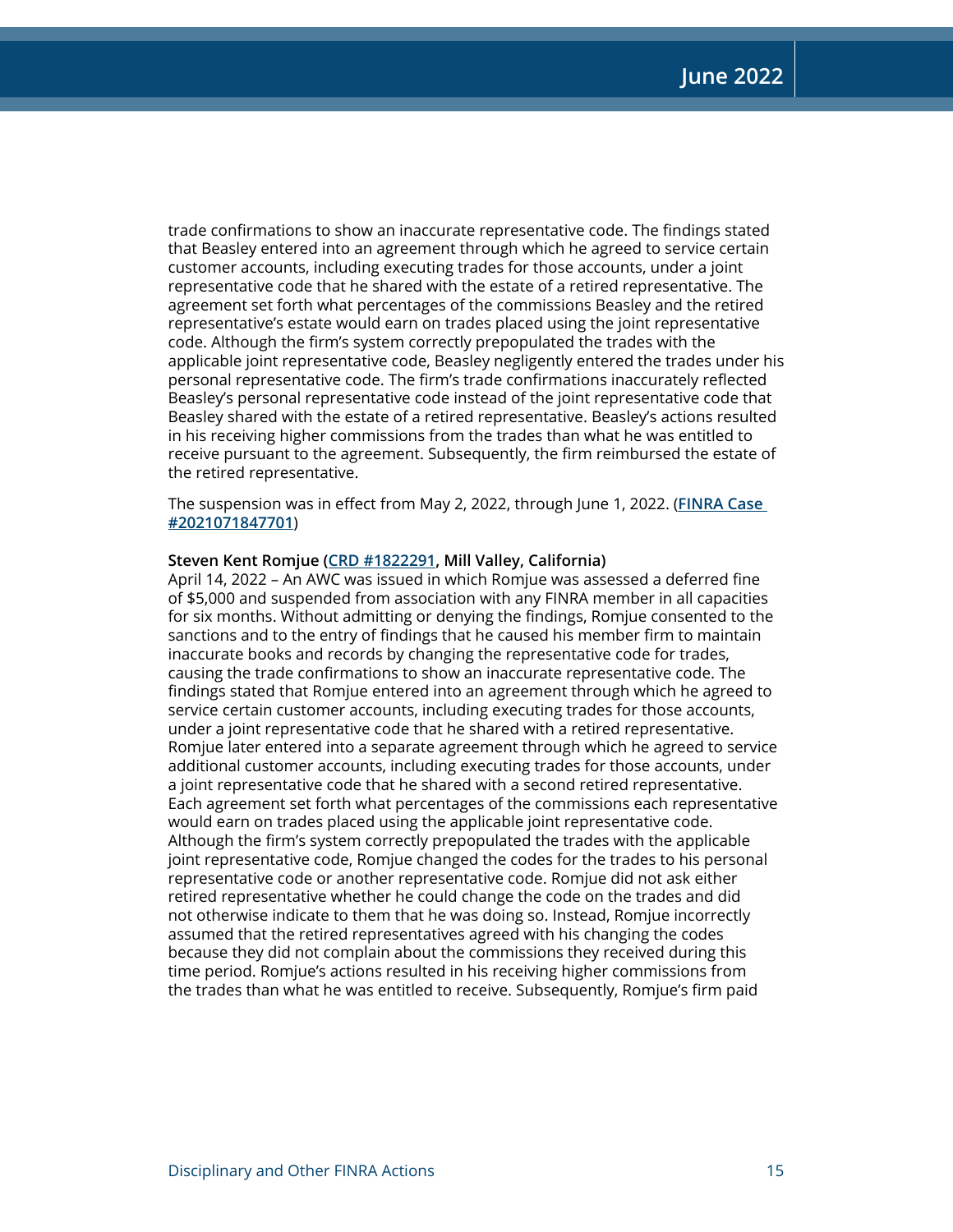trade confirmations to show an inaccurate representative code. The findings stated that Beasley entered into an agreement through which he agreed to service certain customer accounts, including executing trades for those accounts, under a joint representative code that he shared with the estate of a retired representative. The agreement set forth what percentages of the commissions Beasley and the retired representative's estate would earn on trades placed using the joint representative code. Although the firm's system correctly prepopulated the trades with the applicable joint representative code, Beasley negligently entered the trades under his personal representative code. The firm's trade confirmations inaccurately reflected Beasley's personal representative code instead of the joint representative code that Beasley shared with the estate of a retired representative. Beasley's actions resulted in his receiving higher commissions from the trades than what he was entitled to receive pursuant to the agreement. Subsequently, the firm reimbursed the estate of the retired representative.

The suspension was in effect from May 2, 2022, through June 1, 2022. (**[FINRA Case](https://www.finra.org/rules-guidance/oversight-enforcement/finra-disciplinary-actions?search=2021071847701)  [#2021071847701](https://www.finra.org/rules-guidance/oversight-enforcement/finra-disciplinary-actions?search=2021071847701)**)

#### **Steven Kent Romjue ([CRD #1822291](http://brokercheck.finra.org/individual/summary/1822291), Mill Valley, California)**

April 14, 2022 – An AWC was issued in which Romjue was assessed a deferred fine of \$5,000 and suspended from association with any FINRA member in all capacities for six months. Without admitting or denying the findings, Romjue consented to the sanctions and to the entry of findings that he caused his member firm to maintain inaccurate books and records by changing the representative code for trades, causing the trade confirmations to show an inaccurate representative code. The findings stated that Romjue entered into an agreement through which he agreed to service certain customer accounts, including executing trades for those accounts, under a joint representative code that he shared with a retired representative. Romjue later entered into a separate agreement through which he agreed to service additional customer accounts, including executing trades for those accounts, under a joint representative code that he shared with a second retired representative. Each agreement set forth what percentages of the commissions each representative would earn on trades placed using the applicable joint representative code. Although the firm's system correctly prepopulated the trades with the applicable joint representative code, Romjue changed the codes for the trades to his personal representative code or another representative code. Romjue did not ask either retired representative whether he could change the code on the trades and did not otherwise indicate to them that he was doing so. Instead, Romjue incorrectly assumed that the retired representatives agreed with his changing the codes because they did not complain about the commissions they received during this time period. Romjue's actions resulted in his receiving higher commissions from the trades than what he was entitled to receive. Subsequently, Romjue's firm paid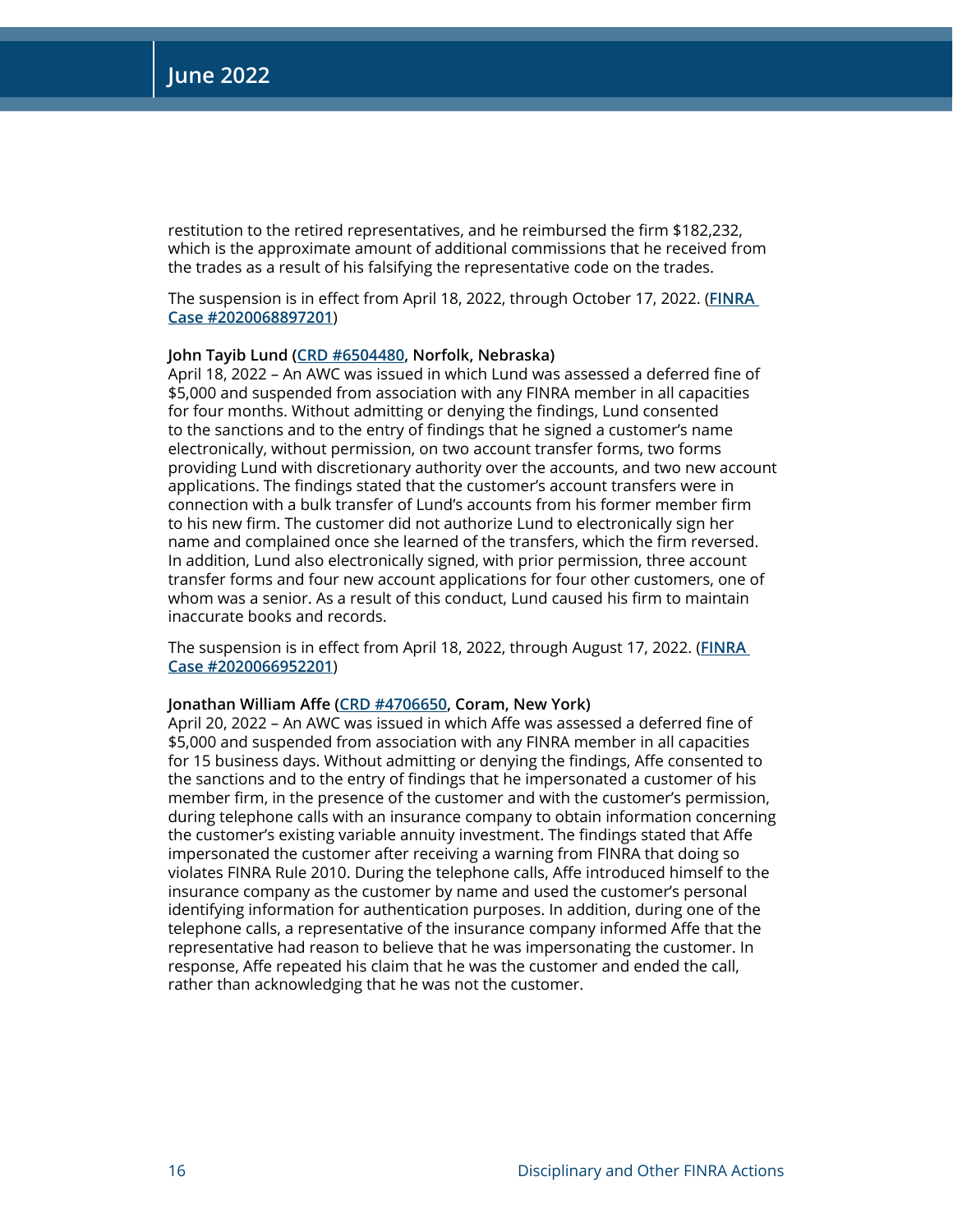restitution to the retired representatives, and he reimbursed the firm \$182,232, which is the approximate amount of additional commissions that he received from the trades as a result of his falsifying the representative code on the trades.

The suspension is in effect from April 18, 2022, through October 17, 2022. (**[FINRA](https://www.finra.org/rules-guidance/oversight-enforcement/finra-disciplinary-actions?search=2020068897201)  [Case #2020068897201](https://www.finra.org/rules-guidance/oversight-enforcement/finra-disciplinary-actions?search=2020068897201)**)

#### **John Tayib Lund ([CRD #6504480](http://brokercheck.finra.org/individual/summary/6504480), Norfolk, Nebraska)**

April 18, 2022 – An AWC was issued in which Lund was assessed a deferred fine of \$5,000 and suspended from association with any FINRA member in all capacities for four months. Without admitting or denying the findings, Lund consented to the sanctions and to the entry of findings that he signed a customer's name electronically, without permission, on two account transfer forms, two forms providing Lund with discretionary authority over the accounts, and two new account applications. The findings stated that the customer's account transfers were in connection with a bulk transfer of Lund's accounts from his former member firm to his new firm. The customer did not authorize Lund to electronically sign her name and complained once she learned of the transfers, which the firm reversed. In addition, Lund also electronically signed, with prior permission, three account transfer forms and four new account applications for four other customers, one of whom was a senior. As a result of this conduct, Lund caused his firm to maintain inaccurate books and records.

The suspension is in effect from April 18, 2022, through August 17, 2022. (**[FINRA](https://www.finra.org/rules-guidance/oversight-enforcement/finra-disciplinary-actions?search=2020066952201)  [Case #2020066952201](https://www.finra.org/rules-guidance/oversight-enforcement/finra-disciplinary-actions?search=2020066952201)**)

#### **Jonathan William Affe [\(CRD #4706650](http://brokercheck.finra.org/individual/summary/4706650), Coram, New York)**

April 20, 2022 – An AWC was issued in which Affe was assessed a deferred fine of \$5,000 and suspended from association with any FINRA member in all capacities for 15 business days. Without admitting or denying the findings, Affe consented to the sanctions and to the entry of findings that he impersonated a customer of his member firm, in the presence of the customer and with the customer's permission, during telephone calls with an insurance company to obtain information concerning the customer's existing variable annuity investment. The findings stated that Affe impersonated the customer after receiving a warning from FINRA that doing so violates FINRA Rule 2010. During the telephone calls, Affe introduced himself to the insurance company as the customer by name and used the customer's personal identifying information for authentication purposes. In addition, during one of the telephone calls, a representative of the insurance company informed Affe that the representative had reason to believe that he was impersonating the customer. In response, Affe repeated his claim that he was the customer and ended the call, rather than acknowledging that he was not the customer.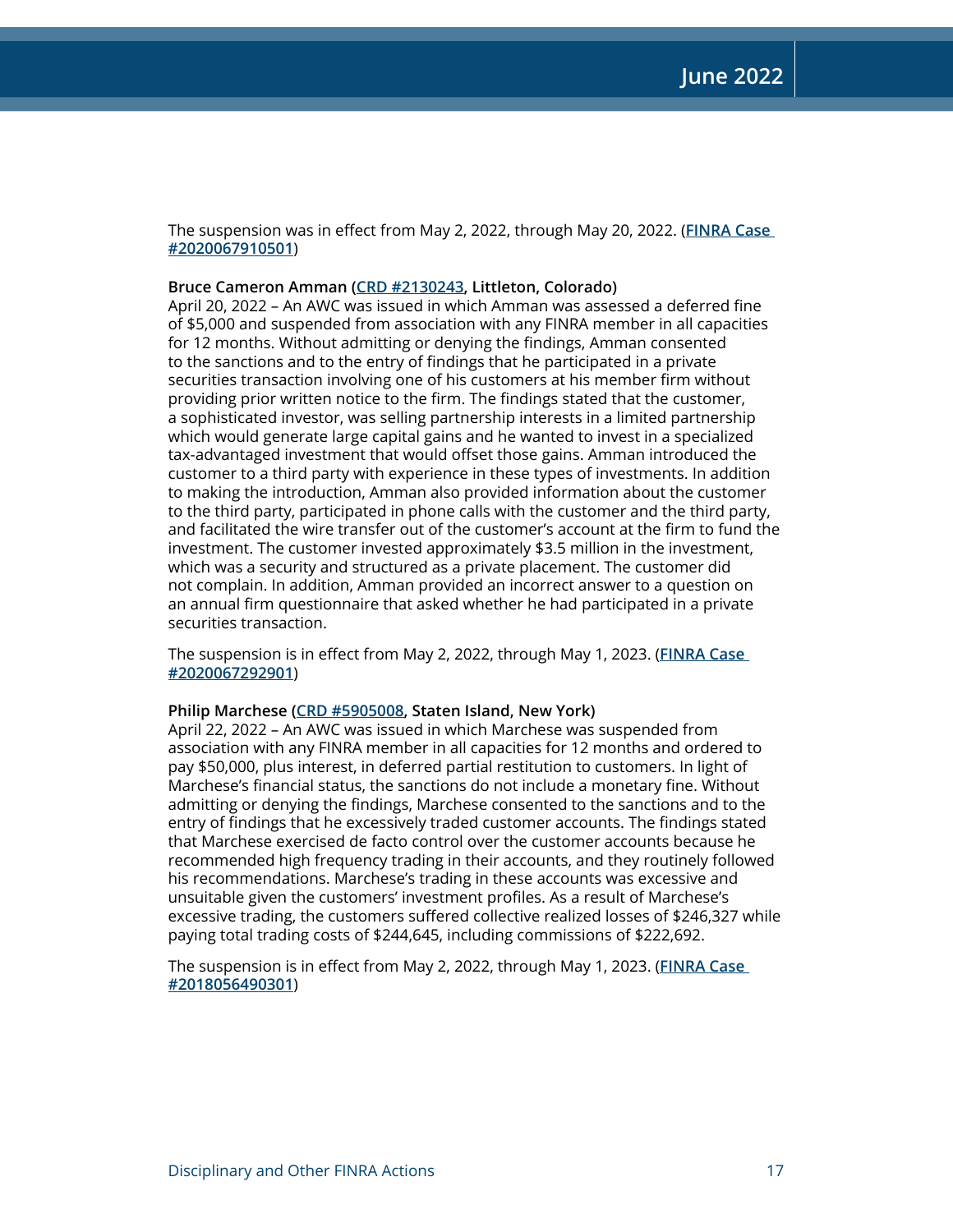The suspension was in effect from May 2, 2022, through May 20, 2022. (**[FINRA Case](https://www.finra.org/rules-guidance/oversight-enforcement/finra-disciplinary-actions?search=2020067910501)  [#2020067910501](https://www.finra.org/rules-guidance/oversight-enforcement/finra-disciplinary-actions?search=2020067910501)**)

**Bruce Cameron Amman [\(CRD #2130243](http://brokercheck.finra.org/individual/summary/2130243), Littleton, Colorado)**

April 20, 2022 – An AWC was issued in which Amman was assessed a deferred fine of \$5,000 and suspended from association with any FINRA member in all capacities for 12 months. Without admitting or denying the findings, Amman consented to the sanctions and to the entry of findings that he participated in a private securities transaction involving one of his customers at his member firm without providing prior written notice to the firm. The findings stated that the customer, a sophisticated investor, was selling partnership interests in a limited partnership which would generate large capital gains and he wanted to invest in a specialized tax-advantaged investment that would offset those gains. Amman introduced the customer to a third party with experience in these types of investments. In addition to making the introduction, Amman also provided information about the customer to the third party, participated in phone calls with the customer and the third party, and facilitated the wire transfer out of the customer's account at the firm to fund the investment. The customer invested approximately \$3.5 million in the investment, which was a security and structured as a private placement. The customer did not complain. In addition, Amman provided an incorrect answer to a question on an annual firm questionnaire that asked whether he had participated in a private securities transaction.

The suspension is in effect from May 2, 2022, through May 1, 2023. (**[FINRA Case](https://www.finra.org/rules-guidance/oversight-enforcement/finra-disciplinary-actions?search=2020067292901)  [#2020067292901](https://www.finra.org/rules-guidance/oversight-enforcement/finra-disciplinary-actions?search=2020067292901)**)

#### **Philip Marchese [\(CRD #5905008,](http://brokercheck.finra.org/individual/summary/5905008) Staten Island, New York)**

April 22, 2022 – An AWC was issued in which Marchese was suspended from association with any FINRA member in all capacities for 12 months and ordered to pay \$50,000, plus interest, in deferred partial restitution to customers. In light of Marchese's financial status, the sanctions do not include a monetary fine. Without admitting or denying the findings, Marchese consented to the sanctions and to the entry of findings that he excessively traded customer accounts. The findings stated that Marchese exercised de facto control over the customer accounts because he recommended high frequency trading in their accounts, and they routinely followed his recommendations. Marchese's trading in these accounts was excessive and unsuitable given the customers' investment profiles. As a result of Marchese's excessive trading, the customers suffered collective realized losses of \$246,327 while paying total trading costs of \$244,645, including commissions of \$222,692.

The suspension is in effect from May 2, 2022, through May 1, 2023. (**[FINRA Case](https://www.finra.org/rules-guidance/oversight-enforcement/finra-disciplinary-actions?search=2018056490301)  [#2018056490301](https://www.finra.org/rules-guidance/oversight-enforcement/finra-disciplinary-actions?search=2018056490301)**)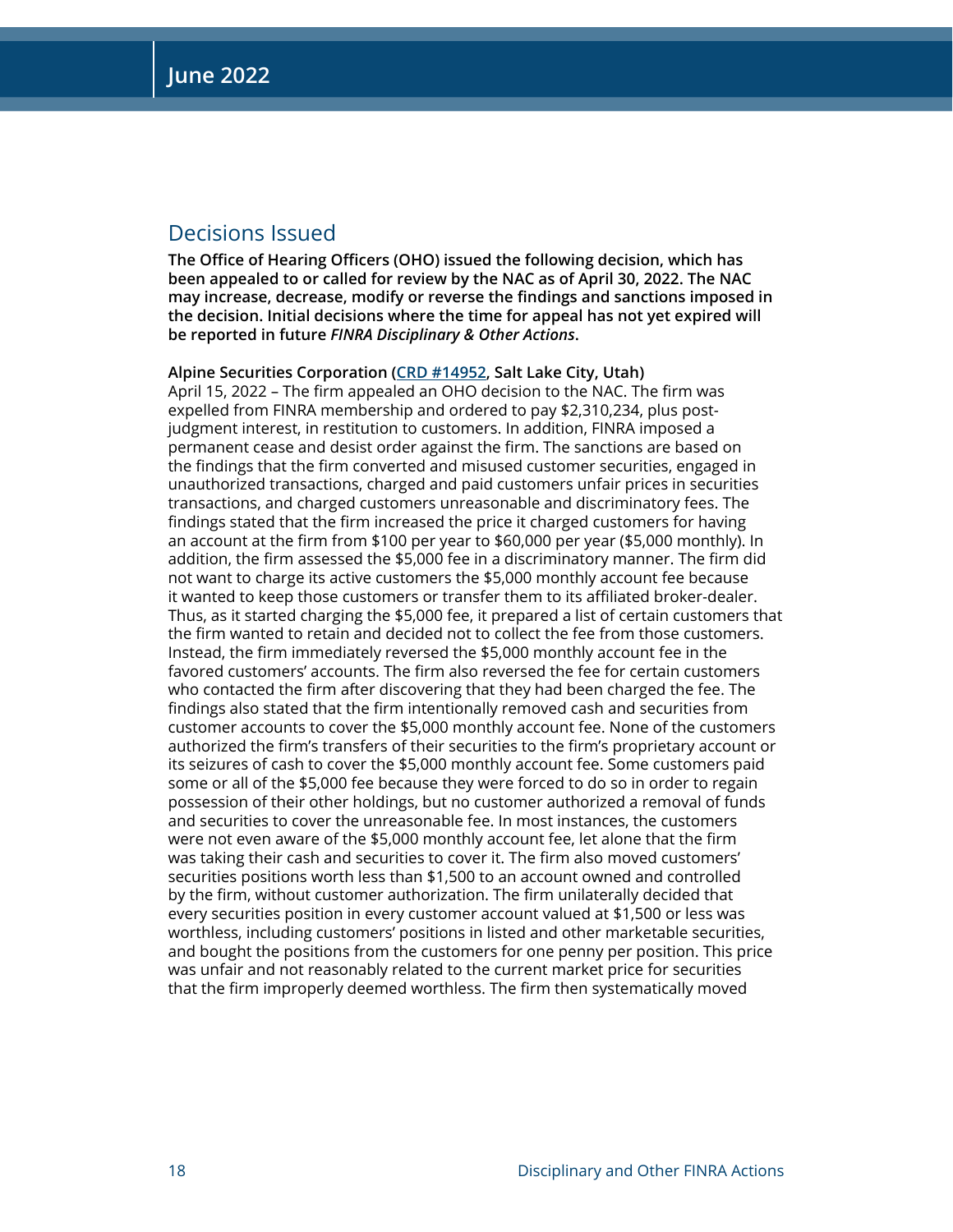## Decisions Issued

**The Office of Hearing Officers (OHO) issued the following decision, which has been appealed to or called for review by the NAC as of April 30, 2022. The NAC may increase, decrease, modify or reverse the findings and sanctions imposed in the decision. Initial decisions where the time for appeal has not yet expired will be reported in future** *FINRA Disciplinary & Other Actions***.**

**Alpine Securities Corporation ([CRD #14952,](http://brokercheck.finra.org/firm/summary/14952) Salt Lake City, Utah)**  April 15, 2022 – The firm appealed an OHO decision to the NAC. The firm was expelled from FINRA membership and ordered to pay \$2,310,234, plus postjudgment interest, in restitution to customers. In addition, FINRA imposed a permanent cease and desist order against the firm. The sanctions are based on the findings that the firm converted and misused customer securities, engaged in unauthorized transactions, charged and paid customers unfair prices in securities transactions, and charged customers unreasonable and discriminatory fees. The findings stated that the firm increased the price it charged customers for having an account at the firm from \$100 per year to \$60,000 per year (\$5,000 monthly). In addition, the firm assessed the \$5,000 fee in a discriminatory manner. The firm did not want to charge its active customers the \$5,000 monthly account fee because it wanted to keep those customers or transfer them to its affiliated broker-dealer. Thus, as it started charging the \$5,000 fee, it prepared a list of certain customers that the firm wanted to retain and decided not to collect the fee from those customers. Instead, the firm immediately reversed the \$5,000 monthly account fee in the favored customers' accounts. The firm also reversed the fee for certain customers who contacted the firm after discovering that they had been charged the fee. The findings also stated that the firm intentionally removed cash and securities from customer accounts to cover the \$5,000 monthly account fee. None of the customers authorized the firm's transfers of their securities to the firm's proprietary account or its seizures of cash to cover the \$5,000 monthly account fee. Some customers paid some or all of the \$5,000 fee because they were forced to do so in order to regain possession of their other holdings, but no customer authorized a removal of funds and securities to cover the unreasonable fee. In most instances, the customers were not even aware of the \$5,000 monthly account fee, let alone that the firm was taking their cash and securities to cover it. The firm also moved customers' securities positions worth less than \$1,500 to an account owned and controlled by the firm, without customer authorization. The firm unilaterally decided that every securities position in every customer account valued at \$1,500 or less was worthless, including customers' positions in listed and other marketable securities, and bought the positions from the customers for one penny per position. This price was unfair and not reasonably related to the current market price for securities that the firm improperly deemed worthless. The firm then systematically moved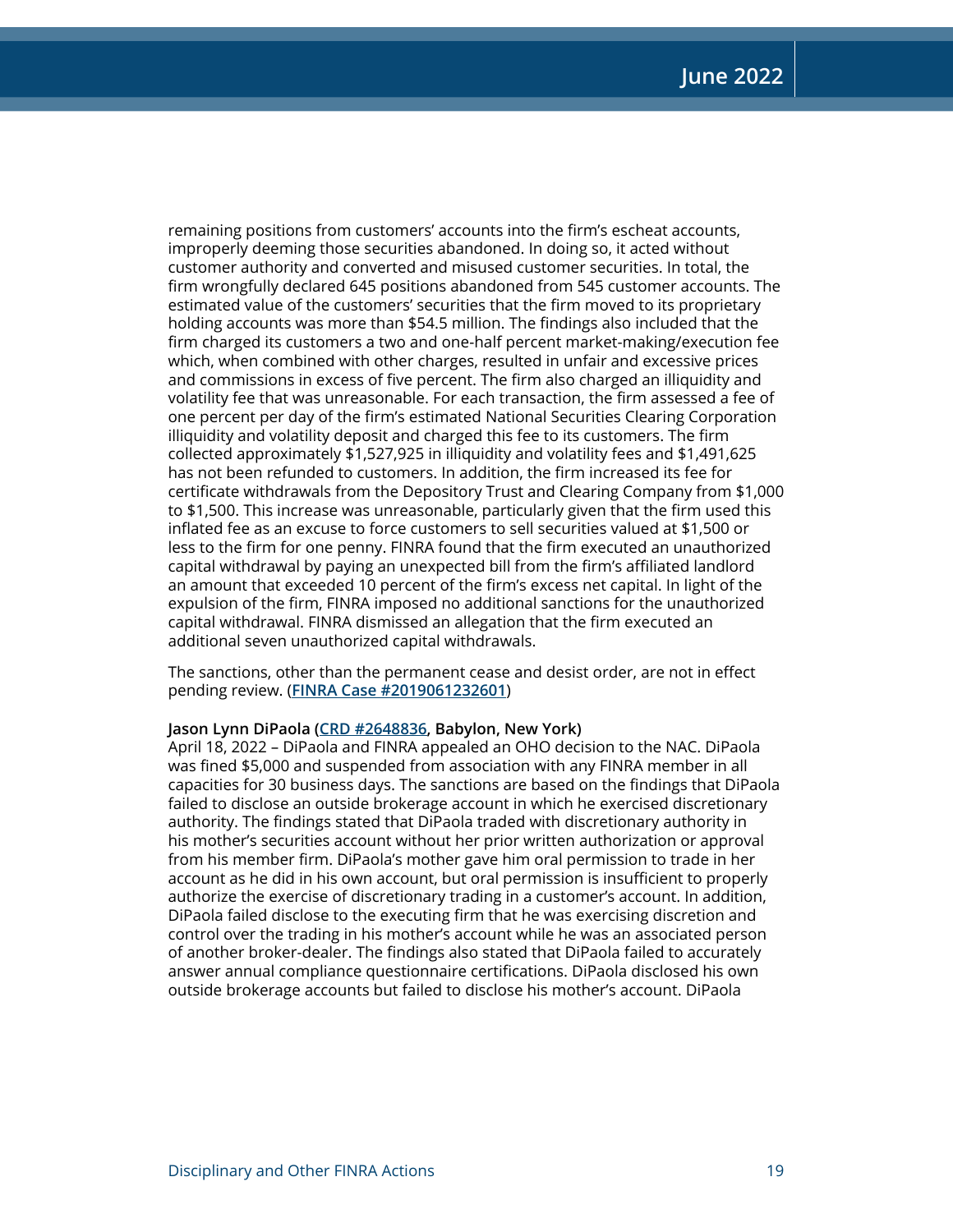remaining positions from customers' accounts into the firm's escheat accounts, improperly deeming those securities abandoned. In doing so, it acted without customer authority and converted and misused customer securities. In total, the firm wrongfully declared 645 positions abandoned from 545 customer accounts. The estimated value of the customers' securities that the firm moved to its proprietary holding accounts was more than \$54.5 million. The findings also included that the firm charged its customers a two and one-half percent market-making/execution fee which, when combined with other charges, resulted in unfair and excessive prices and commissions in excess of five percent. The firm also charged an illiquidity and volatility fee that was unreasonable. For each transaction, the firm assessed a fee of one percent per day of the firm's estimated National Securities Clearing Corporation illiquidity and volatility deposit and charged this fee to its customers. The firm collected approximately \$1,527,925 in illiquidity and volatility fees and \$1,491,625 has not been refunded to customers. In addition, the firm increased its fee for certificate withdrawals from the Depository Trust and Clearing Company from \$1,000 to \$1,500. This increase was unreasonable, particularly given that the firm used this inflated fee as an excuse to force customers to sell securities valued at \$1,500 or less to the firm for one penny. FINRA found that the firm executed an unauthorized capital withdrawal by paying an unexpected bill from the firm's affiliated landlord an amount that exceeded 10 percent of the firm's excess net capital. In light of the expulsion of the firm, FINRA imposed no additional sanctions for the unauthorized capital withdrawal. FINRA dismissed an allegation that the firm executed an additional seven unauthorized capital withdrawals.

The sanctions, other than the permanent cease and desist order, are not in effect pending review. (**[FINRA Case #2019061232601](https://www.finra.org/rules-guidance/oversight-enforcement/finra-disciplinary-actions?search=2019061232601)**)

#### **Jason Lynn DiPaola [\(CRD #2648836](http://brokercheck.finra.org/individual/summary/2648836), Babylon, New York)**

April 18, 2022 – DiPaola and FINRA appealed an OHO decision to the NAC. DiPaola was fined \$5,000 and suspended from association with any FINRA member in all capacities for 30 business days. The sanctions are based on the findings that DiPaola failed to disclose an outside brokerage account in which he exercised discretionary authority. The findings stated that DiPaola traded with discretionary authority in his mother's securities account without her prior written authorization or approval from his member firm. DiPaola's mother gave him oral permission to trade in her account as he did in his own account, but oral permission is insufficient to properly authorize the exercise of discretionary trading in a customer's account. In addition, DiPaola failed disclose to the executing firm that he was exercising discretion and control over the trading in his mother's account while he was an associated person of another broker-dealer. The findings also stated that DiPaola failed to accurately answer annual compliance questionnaire certifications. DiPaola disclosed his own outside brokerage accounts but failed to disclose his mother's account. DiPaola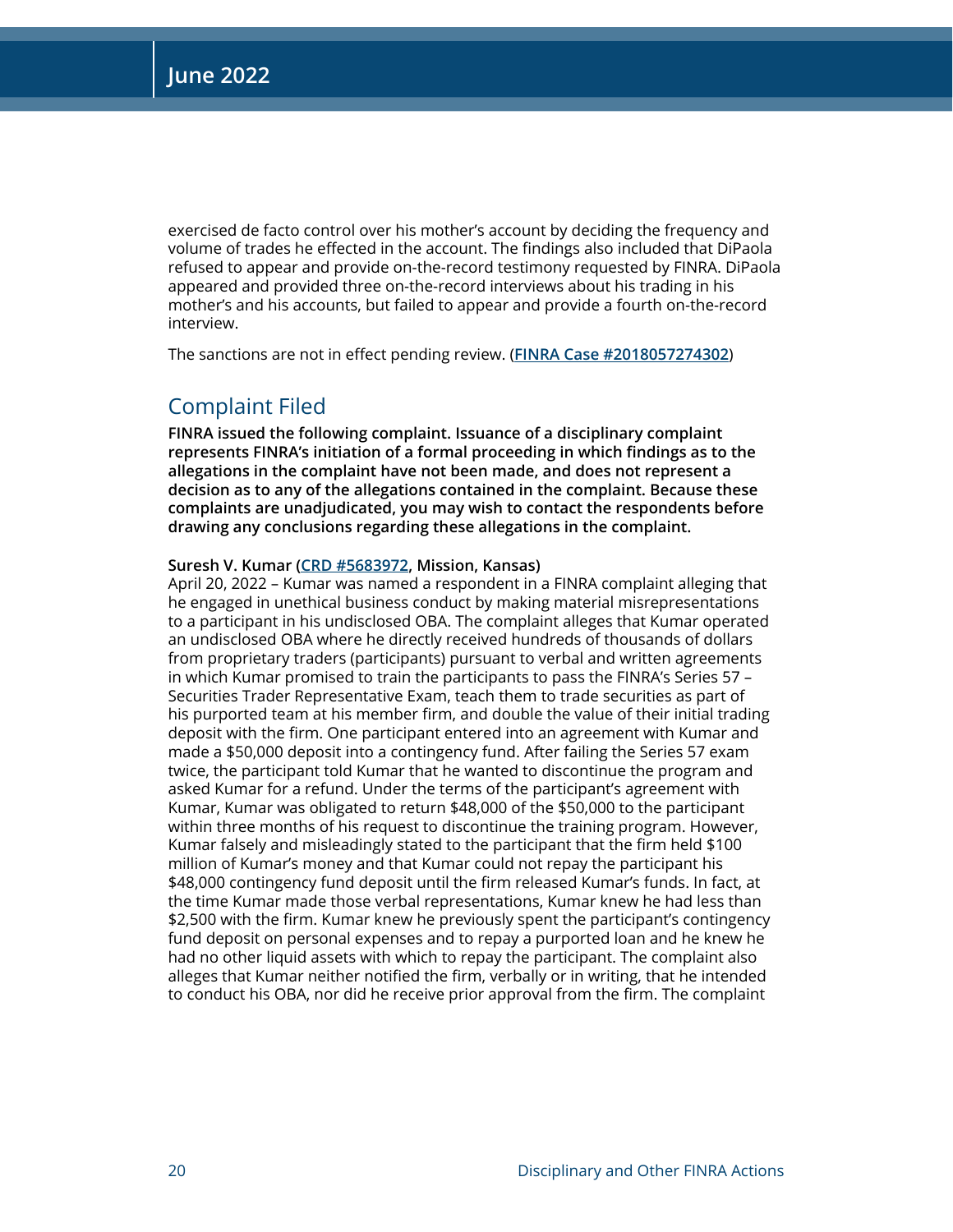exercised de facto control over his mother's account by deciding the frequency and volume of trades he effected in the account. The findings also included that DiPaola refused to appear and provide on-the-record testimony requested by FINRA. DiPaola appeared and provided three on-the-record interviews about his trading in his mother's and his accounts, but failed to appear and provide a fourth on-the-record interview.

The sanctions are not in effect pending review. (**[FINRA Case #2018057274302](https://www.finra.org/rules-guidance/oversight-enforcement/finra-disciplinary-actions?search=2018057274302)**)

## Complaint Filed

**FINRA issued the following complaint. Issuance of a disciplinary complaint represents FINRA's initiation of a formal proceeding in which findings as to the allegations in the complaint have not been made, and does not represent a decision as to any of the allegations contained in the complaint. Because these complaints are unadjudicated, you may wish to contact the respondents before drawing any conclusions regarding these allegations in the complaint.**

#### **Suresh V. Kumar [\(CRD #5683972,](http://brokercheck.finra.org/individual/summary/5683972) Mission, Kansas)**

April 20, 2022 – Kumar was named a respondent in a FINRA complaint alleging that he engaged in unethical business conduct by making material misrepresentations to a participant in his undisclosed OBA. The complaint alleges that Kumar operated an undisclosed OBA where he directly received hundreds of thousands of dollars from proprietary traders (participants) pursuant to verbal and written agreements in which Kumar promised to train the participants to pass the FINRA's Series 57 – Securities Trader Representative Exam, teach them to trade securities as part of his purported team at his member firm, and double the value of their initial trading deposit with the firm. One participant entered into an agreement with Kumar and made a \$50,000 deposit into a contingency fund. After failing the Series 57 exam twice, the participant told Kumar that he wanted to discontinue the program and asked Kumar for a refund. Under the terms of the participant's agreement with Kumar, Kumar was obligated to return \$48,000 of the \$50,000 to the participant within three months of his request to discontinue the training program. However, Kumar falsely and misleadingly stated to the participant that the firm held \$100 million of Kumar's money and that Kumar could not repay the participant his \$48,000 contingency fund deposit until the firm released Kumar's funds. In fact, at the time Kumar made those verbal representations, Kumar knew he had less than \$2,500 with the firm. Kumar knew he previously spent the participant's contingency fund deposit on personal expenses and to repay a purported loan and he knew he had no other liquid assets with which to repay the participant. The complaint also alleges that Kumar neither notified the firm, verbally or in writing, that he intended to conduct his OBA, nor did he receive prior approval from the firm. The complaint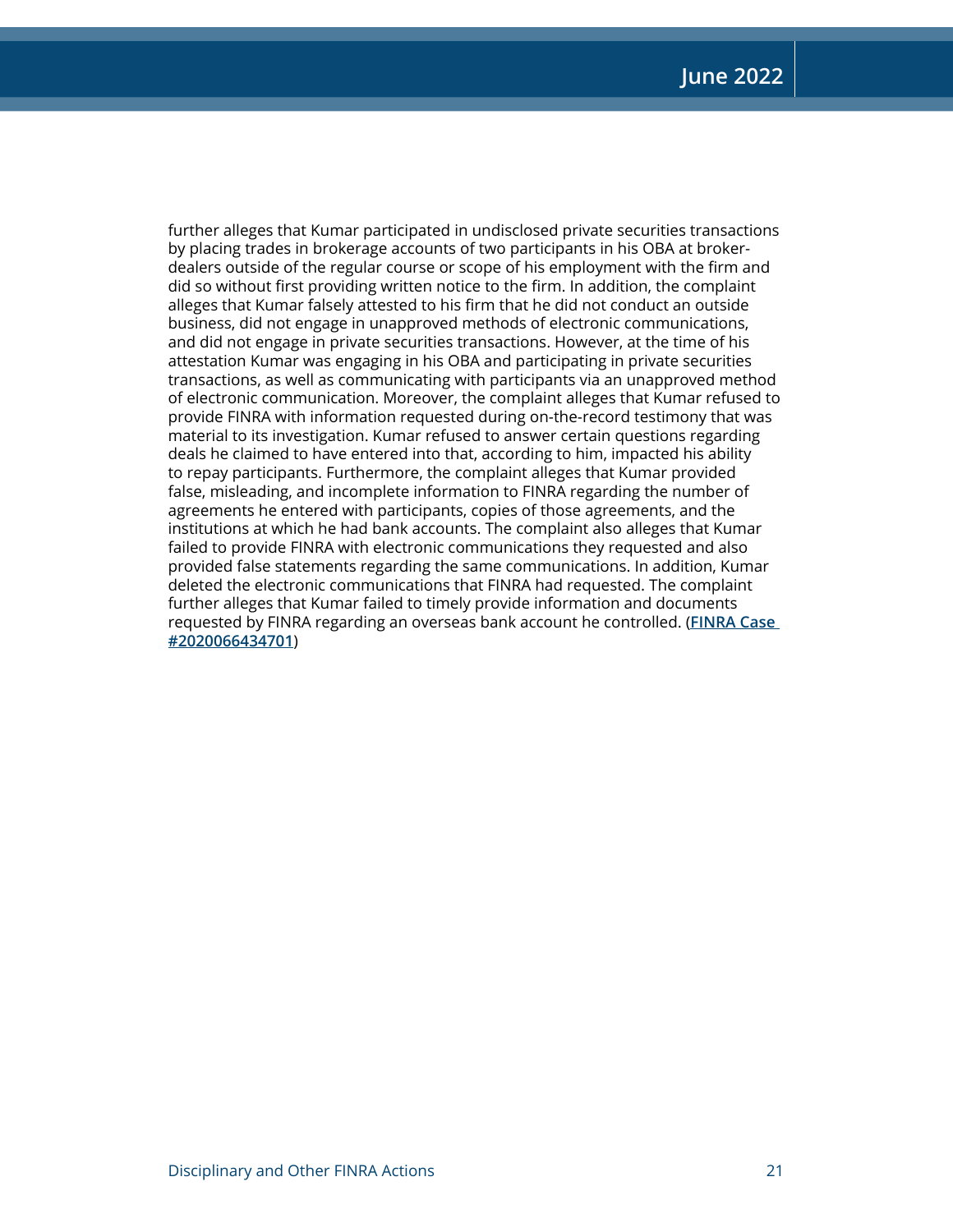further alleges that Kumar participated in undisclosed private securities transactions by placing trades in brokerage accounts of two participants in his OBA at brokerdealers outside of the regular course or scope of his employment with the firm and did so without first providing written notice to the firm. In addition, the complaint alleges that Kumar falsely attested to his firm that he did not conduct an outside business, did not engage in unapproved methods of electronic communications, and did not engage in private securities transactions. However, at the time of his attestation Kumar was engaging in his OBA and participating in private securities transactions, as well as communicating with participants via an unapproved method of electronic communication. Moreover, the complaint alleges that Kumar refused to provide FINRA with information requested during on-the-record testimony that was material to its investigation. Kumar refused to answer certain questions regarding deals he claimed to have entered into that, according to him, impacted his ability to repay participants. Furthermore, the complaint alleges that Kumar provided false, misleading, and incomplete information to FINRA regarding the number of agreements he entered with participants, copies of those agreements, and the institutions at which he had bank accounts. The complaint also alleges that Kumar failed to provide FINRA with electronic communications they requested and also provided false statements regarding the same communications. In addition, Kumar deleted the electronic communications that FINRA had requested. The complaint further alleges that Kumar failed to timely provide information and documents requested by FINRA regarding an overseas bank account he controlled. (**[FINRA Case](https://www.finra.org/rules-guidance/oversight-enforcement/finra-disciplinary-actions?search=2020066434701)  [#2020066434701](https://www.finra.org/rules-guidance/oversight-enforcement/finra-disciplinary-actions?search=2020066434701)**)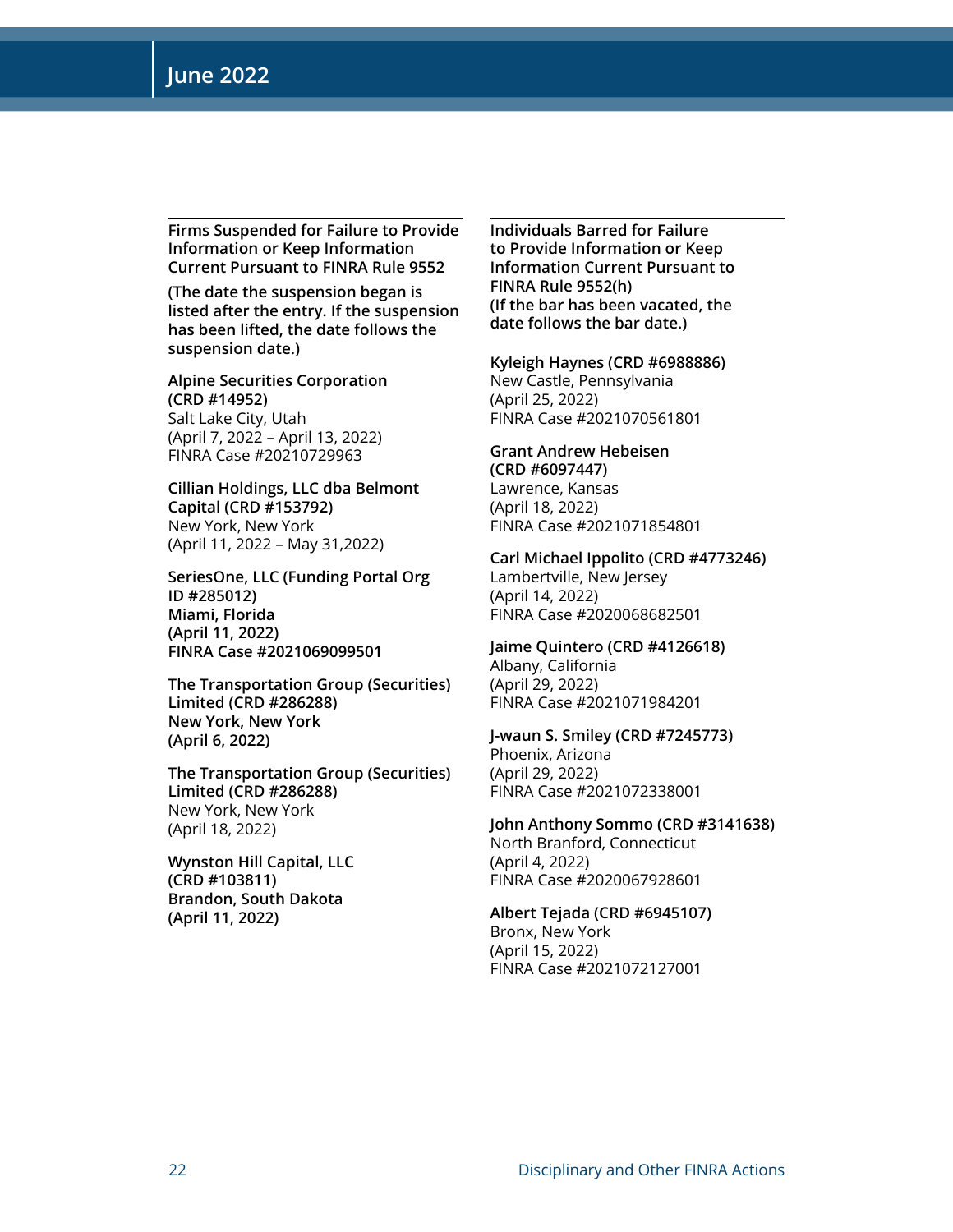**Firms Suspended for Failure to Provide Information or Keep Information Current Pursuant to FINRA Rule 9552**

**(The date the suspension began is listed after the entry. If the suspension has been lifted, the date follows the suspension date.)**

**Alpine Securities Corporation (CRD #14952)** Salt Lake City, Utah (April 7, 2022 – April 13, 2022) FINRA Case #20210729963

**Cillian Holdings, LLC dba Belmont Capital (CRD #153792)** New York, New York (April 11, 2022 – May 31,2022)

**SeriesOne, LLC (Funding Portal Org ID #285012) Miami, Florida (April 11, 2022) FINRA Case #2021069099501**

**The Transportation Group (Securities) Limited (CRD #286288) New York, New York (April 6, 2022)**

**The Transportation Group (Securities) Limited (CRD #286288)** New York, New York (April 18, 2022)

**Wynston Hill Capital, LLC (CRD #103811) Brandon, South Dakota (April 11, 2022)**

**Individuals Barred for Failure to Provide Information or Keep Information Current Pursuant to FINRA Rule 9552(h) (If the bar has been vacated, the date follows the bar date.)**

**Kyleigh Haynes (CRD #6988886)** New Castle, Pennsylvania (April 25, 2022)

FINRA Case #2021070561801

**Grant Andrew Hebeisen (CRD #6097447)** Lawrence, Kansas (April 18, 2022) FINRA Case #2021071854801

**Carl Michael Ippolito (CRD #4773246)** Lambertville, New Jersey (April 14, 2022) FINRA Case #2020068682501

**Jaime Quintero (CRD #4126618)** Albany, California (April 29, 2022) FINRA Case #2021071984201

**J-waun S. Smiley (CRD #7245773)** Phoenix, Arizona (April 29, 2022) FINRA Case #2021072338001

**John Anthony Sommo (CRD #3141638)** North Branford, Connecticut (April 4, 2022) FINRA Case #2020067928601

**Albert Tejada (CRD #6945107)** Bronx, New York (April 15, 2022) FINRA Case #2021072127001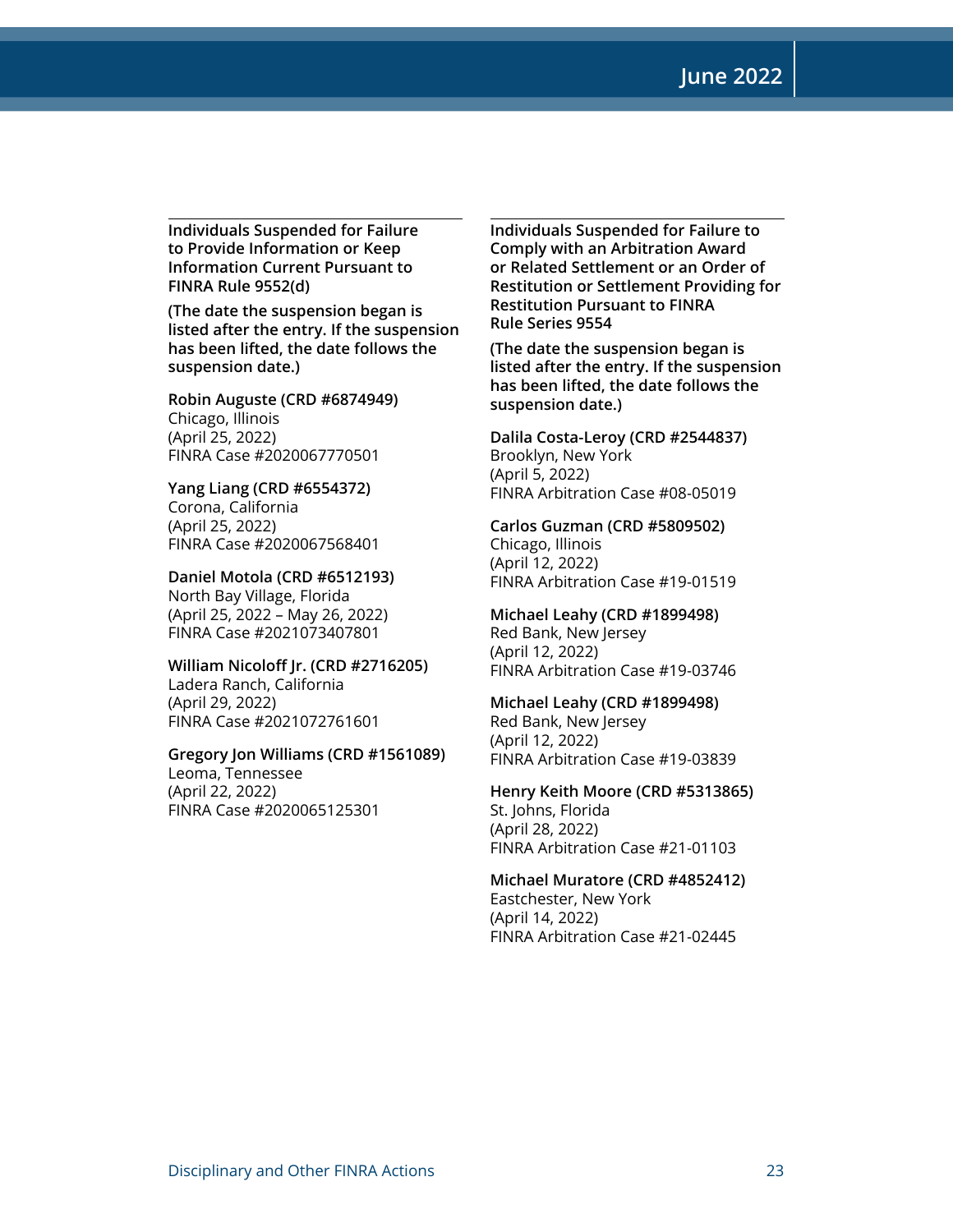**June 2022**

**Individuals Suspended for Failure to Provide Information or Keep Information Current Pursuant to FINRA Rule 9552(d)** 

**(The date the suspension began is listed after the entry. If the suspension has been lifted, the date follows the suspension date.)**

**Robin Auguste (CRD #6874949)** Chicago, Illinois (April 25, 2022) FINRA Case #2020067770501

**Yang Liang (CRD #6554372)** Corona, California (April 25, 2022) FINRA Case #2020067568401

**Daniel Motola (CRD #6512193)** North Bay Village, Florida (April 25, 2022 – May 26, 2022) FINRA Case #2021073407801

**William Nicoloff Jr. (CRD #2716205)** Ladera Ranch, California

(April 29, 2022) FINRA Case #2021072761601

#### **Gregory Jon Williams (CRD #1561089)**

Leoma, Tennessee (April 22, 2022) FINRA Case #2020065125301 **Individuals Suspended for Failure to Comply with an Arbitration Award or Related Settlement or an Order of Restitution or Settlement Providing for Restitution Pursuant to FINRA Rule Series 9554** 

**(The date the suspension began is listed after the entry. If the suspension has been lifted, the date follows the suspension date.)**

**Dalila Costa-Leroy (CRD #2544837)** Brooklyn, New York (April 5, 2022) FINRA Arbitration Case #08-05019

**Carlos Guzman (CRD #5809502)** Chicago, Illinois (April 12, 2022) FINRA Arbitration Case #19-01519

**Michael Leahy (CRD #1899498)** Red Bank, New Jersey (April 12, 2022) FINRA Arbitration Case #19-03746

**Michael Leahy (CRD #1899498)**

Red Bank, New Jersey (April 12, 2022) FINRA Arbitration Case #19-03839

**Henry Keith Moore (CRD #5313865)** St. Johns, Florida (April 28, 2022) FINRA Arbitration Case #21-01103

**Michael Muratore (CRD #4852412)** Eastchester, New York (April 14, 2022) FINRA Arbitration Case #21-02445